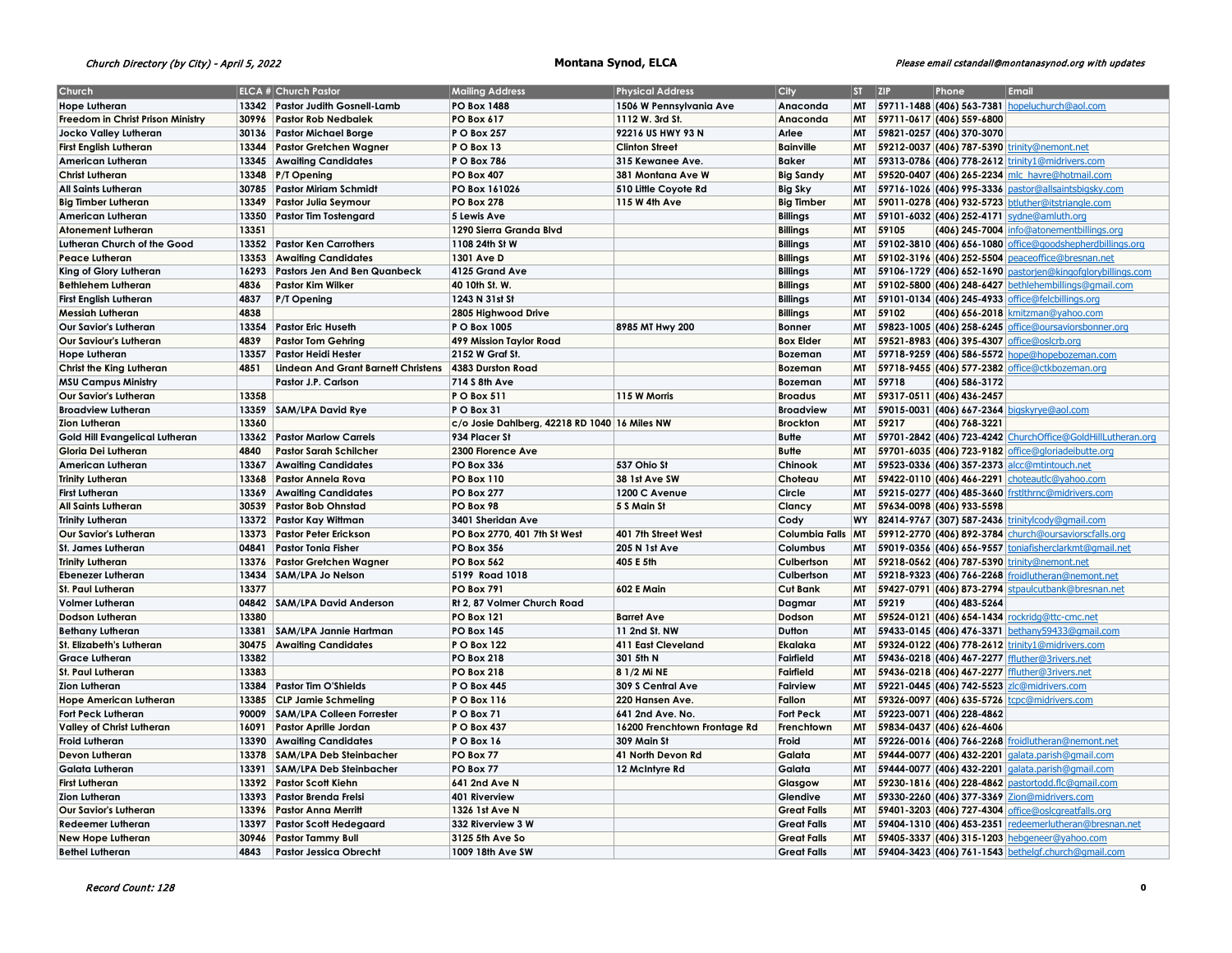# Church Directory (by City) - April 5, 2022 **Montana Synod, ELCA** Please email cstandall@montanasynod.org with updates

| <b>PO Box 1488</b><br>MT 59711-1488 (406) 563-7381 hopeluchurch@aol.com<br>Hope Lutheran<br>13342 Pastor Judith Gosnell-Lamb<br>1506 W Pennsylvania Ave<br>Anaconda<br>Freedom in Christ Prison Ministry<br>30996 Pastor Rob Nedbalek<br>PO Box 617<br>1112 W. 3rd St.<br>Anaconda<br>MT 59711-0617 (406) 559-6800<br>30136<br>P O Box 257<br>92216 US HWY 93 N<br>Arlee<br><b>MT</b><br>59821-0257 (406) 370-3070<br>Jocko Valley Lutheran<br><b>Pastor Michael Borge</b><br>13344<br>PO Box 13<br><b>Bainville</b><br>MT<br>$ 59212-0037 $ (406) 787-5390<br>First English Lutheran<br><b>Pastor Gretchen Wagner</b><br><b>Clinton Street</b><br>rinity@nemont.net<br><b>Baker</b><br>American Lutheran<br>13345<br><b>Awaiting Candidates</b><br>P O Box 786<br>315 Kewanee Ave.<br>MT<br>59313-0786 (406) 778-2612 trinity1@midrivers.com<br>59520-0407 (406) 265-2234 mlc_havre@hotmail.com<br>Christ Lutheran<br>13348<br>P/T Opening<br><b>PO Box 407</b><br>381 Montana Ave W<br><b>Big Sandy</b><br><b>MT</b><br>59716-1026 (406) 995-3336<br>All Saints Lutheran<br>30785<br><b>Pastor Miriam Schmidt</b><br>PO Box 161026<br>510 Little Coyote Rd<br><b>Big Sky</b><br>MT<br>pastor@allsaintsbigsky.com<br><b>Big Timber</b><br>59011-0278 (406) 932-5723 btluther@itstriangle.com<br><b>Big Timber Lutheran</b><br>13349<br><b>Pastor Julia Seymour</b><br><b>PO Box 278</b><br>115 W 4th Ave<br>MT<br>13350<br><b>Billings</b><br>MT<br>59101-6032 (406) 252-4171 sydne@amluth.org<br>American Lutheran<br><b>Pastor Tim Tostengard</b><br>5 Lewis Ave<br>13351<br>MT<br>59105<br><b>Billings</b><br>(406) 245-7004<br>Atonement Lutheran<br>1290 Sierra Granda Blvd<br>info@atonementbillings.org<br>Lutheran Church of the Good<br>13352<br><b>Pastor Ken Carrothers</b><br>1108 24th St W<br><b>Billings</b><br>МT<br>59102-3810 (406) 656-1080 office@goodshepherdbillings.org<br>13353<br>1301 Ave D<br><b>Billings</b><br>59102-3196 (406) 252-5504 peaceoffice@bresnan.net<br>Peace Lutheran<br><b>Awaiting Candidates</b><br>MT<br><b>Billings</b><br>59106-1729 (406) 652-1690 pastorjen@kingofglorybillings.com<br>King of Glory Lutheran<br>16293<br>Pastors Jen And Ben Quanbeck<br>4125 Grand Ave<br>MT<br><b>Billings</b><br><b>Bethlehem Lutheran</b><br>4836<br><b>Pastor Kim Wilker</b><br>40 10th St. W.<br>МT<br>59102-5800 (406) 248-6427 bethlehembillings@gmail.com<br><b>Billings</b><br><b>First English Lutheran</b><br>4837<br>P/T Opening<br>1243 N 31st St<br><b>MT</b><br>59101-0134 (406) 245-4933 office@felcbillings.org<br>59102<br>4838<br><b>Billings</b><br><b>MT</b><br>Messiah Lutheran<br>2805 Highwood Drive<br>(406) 656-2018   kmitzman@yahoo.com<br>59823-1005 (406) 258-6245 office@oursaviorsbonner.org<br>Our Savior's Lutheran<br>13354<br><b>Pastor Eric Huseth</b><br>8985 MT Hwy 200<br><b>MT</b><br>P O Box 1005<br><b>Bonner</b><br><b>Box Elder</b><br>59521-8983 (406) 395-4307<br>Our Saviour's Lutheran<br>4839<br><b>Pastor Tom Gehring</b><br>499 Mission Taylor Road<br>MT<br>ffice@oslcrb.org<br>2152 W Graf St.<br>Hope Lutheran<br>13357<br><b>Pastor Heidi Hester</b><br>Bozeman<br><b>MT</b><br>$ 59718-9259 $ (406) 586-5572<br>hope@hopebozeman.com<br>Christ the King Lutheran<br>4851<br><b>Lindean And Grant Barnett Christens</b><br>4383 Durston Road<br><b>MT</b><br>$ 59718 - 9455 $ (406) 577-2382<br><b>Bozeman</b><br>office@ctkbozeman.org<br>MT<br>59718<br>714 S 8th Ave<br><b>Bozeman</b><br>(406) 586-3172<br><b>MSU Campus Ministry</b><br>Pastor J.P. Carlson<br>13358<br>P O Box 511<br>115 W Morris<br><b>Broadus</b><br>59317-0511 (406) 436-2457<br>Our Savior's Lutheran<br>MT<br><b>Broadview Lutheran</b><br>13359<br><b>SAM/LPA David Rye</b><br>PO Box 31<br><b>Broadview</b><br><b>MT</b><br>59015-0031 (406) 667-2364<br>igskyrye@aol.com<br>13360<br>c/o Josie Dahlberg, 42218 RD 1040 16 Miles NW<br><b>Brockton</b><br><b>MT</b><br>59217<br><b>Zion Lutheran</b><br>(406) 768-3221<br>Gold Hill Evangelical Lutheran<br>13362<br><b>Pastor Marlow Carrels</b><br>934 Placer St<br><b>Butte</b><br><b>MT</b><br>59701-2842 (406) 723-4242 ChurchOffice@GoldHillLutheran.org<br>Gloria Dei Lutheran<br>4840<br><b>Pastor Sarah Schilcher</b><br>2300 Florence Ave<br><b>Butte</b><br><b>MT</b><br>59701-6035 (406) 723-9182 office@gloriadeibutte.org<br><b>Awaiting Candidates</b><br>PO Box 336<br>537 Ohio St<br>Chinook<br>MT<br>59523-0336 (406) 357-2373 alcc@mtintouch.net<br>American Lutheran<br>13367<br><b>Trinity Lutheran</b><br>13368<br>Pastor Annela Rova<br><b>PO Box 110</b><br>38 1st Ave SW<br>Choteau<br>МT<br>59422-0110 (406) 466-2291 choteautic@yahoo.com<br><b>First Lutheran</b><br>13369<br><b>PO Box 277</b><br>1200 C Avenue<br>Circle<br><b>MT</b><br>$ 59215-0277 $ (406) 485-3660<br><b>Awaiting Candidates</b><br>irstlthrnc@midrivers.com<br>59634-0098 (406) 933-5598<br>All Saints Lutheran<br>30539<br><b>Pastor Bob Ohnstad</b><br>PO Box 98<br>5 S Main St<br>Clancy<br>MT<br><b>Pastor Kay Wittman</b><br>Cody<br>WY 82414-9767 (307) 587-2436 trinitylcody@gmail.com<br><b>Trinity Lutheran</b><br>13372<br>3401 Sheridan Ave<br>Our Savior's Lutheran<br>13373<br><b>Pastor Peter Erickson</b><br>PO Box 2770, 401 7th St West<br>401 7th Street West<br>Columbia Falls<br>MT<br>59912-2770 (406) 892-3784 church@oursaviorscfalls.org<br>St. James Lutheran<br>04841<br><b>PO Box 356</b><br>205 N 1st Ave<br>Columbus<br><b>MT</b><br>59019-0356 (406) 656-9557 toniafisherclarkmt@gmail.net<br><b>Pastor Tonia Fisher</b><br><b>Trinity Lutheran</b><br>13376<br><b>Pastor Gretchen Wagner</b><br><b>PO Box 562</b><br>405 E 5th<br>Culbertson<br>MT<br>59218-0562 (406) 787-5390<br><u>rinity@nemont.net</u><br><b>Ebenezer Lutheran</b><br>13434<br>SAM/LPA Jo Nelson<br>5199 Road 1018<br>Culbertson<br>MT<br>59218-9323 (406) 766-2268<br>froidlutheran@nemont.net<br>St. Paul Lutheran<br>13377<br><b>PO Box 791</b><br><b>602 E Main</b><br><b>Cut Bank</b><br><b>MT</b><br>$ 59427-0791 $ (406) 873-2794<br>stpaulcutbank@bresnan.net<br>04842<br><b>SAM/LPA David Anderson</b><br>Rt 2, 87 Volmer Church Road<br><b>MT</b><br>59219<br><b>Volmer Lutheran</b><br>Dagmar<br>(406) 483-5264<br>13380<br>Dodson Lutheran<br><b>PO Box 121</b><br><b>Barret Ave</b><br>Dodson<br><b>MT</b><br>59524-0121 (406) 654-1434 rockridg@ttc-cmc.net<br>13381<br>SAM/LPA Jannie Hartman<br>11 2nd St. NW<br><b>Dutton</b><br><b>Bethany Lutheran</b><br><b>PO Box 145</b><br><b>MT</b><br>59433-0145 (406) 476-3371 bethany59433@qmail.com<br>59324-0122 (406) 778-2612 trinity1@midrivers.com<br>St. Elizabeth's Lutheran<br>30475<br><b>Awaiting Candidates</b><br>P O Box 122<br>Ekalaka<br><b>MT</b><br>411 East Cleveland<br>13382<br><b>Fairfield</b><br><b>MT</b><br>59436-0218 (406) 467-2277 ffluther@3rivers.net<br><b>Grace Lutheran</b><br><b>PO Box 218</b><br>301 5th N<br>St. Paul Lutheran<br>13383<br><b>PO Box 218</b><br>8 1/2 Mi NE<br><b>Fairfield</b><br>59436-0218 (406) 467-2277 ffluther@3rivers.net<br>MT<br><b>Zion Lutheran</b><br>13384<br><b>Pastor Tim O'Shields</b><br>P O Box 445<br>Fairview<br>59221-0445 (406) 742-5523 Zlc@midrivers.com<br>309 S Central Ave<br>MT<br>13385<br>P O Box 116<br>Fallon<br><b>MT</b><br>59326-0097 (406) 635-5726<br><b>Hope American Lutheran</b><br><b>CLP Jamie Schmeling</b><br>220 Hansen Ave.<br>cpc@midrivers.com<br>Fort Peck Lutheran<br>90009<br>SAM/LPA Colleen Forrester<br>PO Box 71<br>641 2nd Ave. No.<br><b>Fort Peck</b><br>MT<br>59223-0071 (406) 228-4862<br>Valley of Christ Lutheran<br>16091<br>Pastor Aprille Jordan<br>P O Box 437<br>16200 Frenchtown Frontage Rd<br>Frenchtown<br><b>MT</b><br>59834-0437 (406) 626-4606<br>Froid<br><b>MT</b><br>Froid Lutheran<br>13390<br><b>Awaiting Candidates</b><br>PO Box 16<br>309 Main St<br> 59226-0016 (406) 766-2268  <br>froidlutheran@nemont.net<br>Devon Lutheran<br>Galata<br>59444-0077 (406) 432-2201 alata.parish@gmail.com<br>13378<br><b>SAM/LPA Deb Steinbacher</b><br>PO Box 77<br>41 North Devon Rd<br>МT<br>Galata<br><b>MT</b><br>59444-0077 (406) 432-2201<br>Galata Lutheran<br>13391<br><b>SAM/LPA Deb Steinbacher</b><br>PO Box 77<br>12 McIntyre Rd<br>galata.parish@gmail.com<br>13392<br>Glasgow<br>MT<br>59230-1816 (406) 228-4862 pastortodd.flc@gmail.com<br><b>First Lutheran</b><br><b>Pastor Scott Kiehn</b><br>641 2nd Ave N<br><b>Zion Lutheran</b><br>13393<br>Pastor Brenda Frelsi<br>Glendive<br><b>MT</b><br>59330-2260 (406) 377-3369 Zion@midrivers.com<br>401 Riverview<br><b>Great Falls</b><br><b>MT</b><br>59401-3203 (406) 727-4304 office@oslcgreatfalls.org<br>Our Savior's Lutheran<br>13396<br><b>Pastor Anna Merritt</b><br>1326 1st Ave N<br><b>Great Falls</b><br>59404-1310 (406) 453-2351 redeemerlutheran@bresnan.net<br>13397<br><b>Pastor Scott Hedegaard</b><br>332 Riverview 3 W<br>МT<br>Redeemer Lutheran<br><b>Great Falls</b><br>59405-3337 (406) 315-1203 hebgeneer@yahoo.com<br><b>New Hope Lutheran</b><br>30946<br><b>Pastor Tammy Bull</b><br>3125 5th Ave So<br>МT<br>4843<br><b>MT</b><br>59404-3423 (406) 761-1543 bethelgf.church@gmail.com<br><b>Bethel Lutheran</b><br><b>Pastor Jessica Obrecht</b><br>1009 18th Ave SW<br><b>Great Falls</b> | Church | <b>ELCA # Church Pastor</b> | <b>Mailing Address</b> | <b>Physical Address</b> | City | $ST$ $ZIP$ | Phone | Email |
|----------------------------------------------------------------------------------------------------------------------------------------------------------------------------------------------------------------------------------------------------------------------------------------------------------------------------------------------------------------------------------------------------------------------------------------------------------------------------------------------------------------------------------------------------------------------------------------------------------------------------------------------------------------------------------------------------------------------------------------------------------------------------------------------------------------------------------------------------------------------------------------------------------------------------------------------------------------------------------------------------------------------------------------------------------------------------------------------------------------------------------------------------------------------------------------------------------------------------------------------------------------------------------------------------------------------------------------------------------------------------------------------------------------------------------------------------------------------------------------------------------------------------------------------------------------------------------------------------------------------------------------------------------------------------------------------------------------------------------------------------------------------------------------------------------------------------------------------------------------------------------------------------------------------------------------------------------------------------------------------------------------------------------------------------------------------------------------------------------------------------------------------------------------------------------------------------------------------------------------------------------------------------------------------------------------------------------------------------------------------------------------------------------------------------------------------------------------------------------------------------------------------------------------------------------------------------------------------------------------------------------------------------------------------------------------------------------------------------------------------------------------------------------------------------------------------------------------------------------------------------------------------------------------------------------------------------------------------------------------------------------------------------------------------------------------------------------------------------------------------------------------------------------------------------------------------------------------------------------------------------------------------------------------------------------------------------------------------------------------------------------------------------------------------------------------------------------------------------------------------------------------------------------------------------------------------------------------------------------------------------------------------------------------------------------------------------------------------------------------------------------------------------------------------------------------------------------------------------------------------------------------------------------------------------------------------------------------------------------------------------------------------------------------------------------------------------------------------------------------------------------------------------------------------------------------------------------------------------------------------------------------------------------------------------------------------------------------------------------------------------------------------------------------------------------------------------------------------------------------------------------------------------------------------------------------------------------------------------------------------------------------------------------------------------------------------------------------------------------------------------------------------------------------------------------------------------------------------------------------------------------------------------------------------------------------------------------------------------------------------------------------------------------------------------------------------------------------------------------------------------------------------------------------------------------------------------------------------------------------------------------------------------------------------------------------------------------------------------------------------------------------------------------------------------------------------------------------------------------------------------------------------------------------------------------------------------------------------------------------------------------------------------------------------------------------------------------------------------------------------------------------------------------------------------------------------------------------------------------------------------------------------------------------------------------------------------------------------------------------------------------------------------------------------------------------------------------------------------------------------------------------------------------------------------------------------------------------------------------------------------------------------------------------------------------------------------------------------------------------------------------------------------------------------------------------------------------------------------------------------------------------------------------------------------------------------------------------------------------------------------------------------------------------------------------------------------------------------------------------------------------------------------------------------------------------------------------------------------------------------------------------------------------------------------------------------------------------------------------------------------------------------------------------------------------------------------------------------------------------------------------------------------------------------------------------------------------------------------------------------------------------------------------------------------------------------------------------------------------------------------------------------------------------------------------------------------------------------------------------------------------------------------------------------------------------------------------------------------------------------------------------------------------------------------------------------------------------------------------------------------------------------------------------------------------------------------------------------------------------------------------------------------------------------------------------------------------------------------------------------------------------------------------------------------------------------------------------------------------------------------------------------------------------------------------------------------------------------------------------------------------------------------------------------------------------------------------------------------------------------------------------------------------------------------------------------------------------------------------------------------------------------------------------------------------------------------------------------------------------------------------------------------------------------------------------------------------------------------------------------------------------------------------------------------------------------------------------------------------------------------------------------------------------------------------------------------------------------------------------------------------------------------------------------------------------------------------------------------------------------------------------------------------------------------------------------------------------------------------------------------------------------------------------------------------------------|--------|-----------------------------|------------------------|-------------------------|------|------------|-------|-------|
|                                                                                                                                                                                                                                                                                                                                                                                                                                                                                                                                                                                                                                                                                                                                                                                                                                                                                                                                                                                                                                                                                                                                                                                                                                                                                                                                                                                                                                                                                                                                                                                                                                                                                                                                                                                                                                                                                                                                                                                                                                                                                                                                                                                                                                                                                                                                                                                                                                                                                                                                                                                                                                                                                                                                                                                                                                                                                                                                                                                                                                                                                                                                                                                                                                                                                                                                                                                                                                                                                                                                                                                                                                                                                                                                                                                                                                                                                                                                                                                                                                                                                                                                                                                                                                                                                                                                                                                                                                                                                                                                                                                                                                                                                                                                                                                                                                                                                                                                                                                                                                                                                                                                                                                                                                                                                                                                                                                                                                                                                                                                                                                                                                                                                                                                                                                                                                                                                                                                                                                                                                                                                                                                                                                                                                                                                                                                                                                                                                                                                                                                                                                                                                                                                                                                                                                                                                                                                                                                                                                                                                                                                                                                                                                                                                                                                                                                                                                                                                                                                                                                                                                                                                                                                                                                                                                                                                                                                                                                                                                                                                                                                                                                                                                                                                                                                                                                                                                                                                                                                                                                                                                                                                                                                                                                                                                                                                                                                                                                                                                                                                                                                                                                                                                                                                                                                                                      |        |                             |                        |                         |      |            |       |       |
|                                                                                                                                                                                                                                                                                                                                                                                                                                                                                                                                                                                                                                                                                                                                                                                                                                                                                                                                                                                                                                                                                                                                                                                                                                                                                                                                                                                                                                                                                                                                                                                                                                                                                                                                                                                                                                                                                                                                                                                                                                                                                                                                                                                                                                                                                                                                                                                                                                                                                                                                                                                                                                                                                                                                                                                                                                                                                                                                                                                                                                                                                                                                                                                                                                                                                                                                                                                                                                                                                                                                                                                                                                                                                                                                                                                                                                                                                                                                                                                                                                                                                                                                                                                                                                                                                                                                                                                                                                                                                                                                                                                                                                                                                                                                                                                                                                                                                                                                                                                                                                                                                                                                                                                                                                                                                                                                                                                                                                                                                                                                                                                                                                                                                                                                                                                                                                                                                                                                                                                                                                                                                                                                                                                                                                                                                                                                                                                                                                                                                                                                                                                                                                                                                                                                                                                                                                                                                                                                                                                                                                                                                                                                                                                                                                                                                                                                                                                                                                                                                                                                                                                                                                                                                                                                                                                                                                                                                                                                                                                                                                                                                                                                                                                                                                                                                                                                                                                                                                                                                                                                                                                                                                                                                                                                                                                                                                                                                                                                                                                                                                                                                                                                                                                                                                                                                                                      |        |                             |                        |                         |      |            |       |       |
|                                                                                                                                                                                                                                                                                                                                                                                                                                                                                                                                                                                                                                                                                                                                                                                                                                                                                                                                                                                                                                                                                                                                                                                                                                                                                                                                                                                                                                                                                                                                                                                                                                                                                                                                                                                                                                                                                                                                                                                                                                                                                                                                                                                                                                                                                                                                                                                                                                                                                                                                                                                                                                                                                                                                                                                                                                                                                                                                                                                                                                                                                                                                                                                                                                                                                                                                                                                                                                                                                                                                                                                                                                                                                                                                                                                                                                                                                                                                                                                                                                                                                                                                                                                                                                                                                                                                                                                                                                                                                                                                                                                                                                                                                                                                                                                                                                                                                                                                                                                                                                                                                                                                                                                                                                                                                                                                                                                                                                                                                                                                                                                                                                                                                                                                                                                                                                                                                                                                                                                                                                                                                                                                                                                                                                                                                                                                                                                                                                                                                                                                                                                                                                                                                                                                                                                                                                                                                                                                                                                                                                                                                                                                                                                                                                                                                                                                                                                                                                                                                                                                                                                                                                                                                                                                                                                                                                                                                                                                                                                                                                                                                                                                                                                                                                                                                                                                                                                                                                                                                                                                                                                                                                                                                                                                                                                                                                                                                                                                                                                                                                                                                                                                                                                                                                                                                                                      |        |                             |                        |                         |      |            |       |       |
|                                                                                                                                                                                                                                                                                                                                                                                                                                                                                                                                                                                                                                                                                                                                                                                                                                                                                                                                                                                                                                                                                                                                                                                                                                                                                                                                                                                                                                                                                                                                                                                                                                                                                                                                                                                                                                                                                                                                                                                                                                                                                                                                                                                                                                                                                                                                                                                                                                                                                                                                                                                                                                                                                                                                                                                                                                                                                                                                                                                                                                                                                                                                                                                                                                                                                                                                                                                                                                                                                                                                                                                                                                                                                                                                                                                                                                                                                                                                                                                                                                                                                                                                                                                                                                                                                                                                                                                                                                                                                                                                                                                                                                                                                                                                                                                                                                                                                                                                                                                                                                                                                                                                                                                                                                                                                                                                                                                                                                                                                                                                                                                                                                                                                                                                                                                                                                                                                                                                                                                                                                                                                                                                                                                                                                                                                                                                                                                                                                                                                                                                                                                                                                                                                                                                                                                                                                                                                                                                                                                                                                                                                                                                                                                                                                                                                                                                                                                                                                                                                                                                                                                                                                                                                                                                                                                                                                                                                                                                                                                                                                                                                                                                                                                                                                                                                                                                                                                                                                                                                                                                                                                                                                                                                                                                                                                                                                                                                                                                                                                                                                                                                                                                                                                                                                                                                                                      |        |                             |                        |                         |      |            |       |       |
|                                                                                                                                                                                                                                                                                                                                                                                                                                                                                                                                                                                                                                                                                                                                                                                                                                                                                                                                                                                                                                                                                                                                                                                                                                                                                                                                                                                                                                                                                                                                                                                                                                                                                                                                                                                                                                                                                                                                                                                                                                                                                                                                                                                                                                                                                                                                                                                                                                                                                                                                                                                                                                                                                                                                                                                                                                                                                                                                                                                                                                                                                                                                                                                                                                                                                                                                                                                                                                                                                                                                                                                                                                                                                                                                                                                                                                                                                                                                                                                                                                                                                                                                                                                                                                                                                                                                                                                                                                                                                                                                                                                                                                                                                                                                                                                                                                                                                                                                                                                                                                                                                                                                                                                                                                                                                                                                                                                                                                                                                                                                                                                                                                                                                                                                                                                                                                                                                                                                                                                                                                                                                                                                                                                                                                                                                                                                                                                                                                                                                                                                                                                                                                                                                                                                                                                                                                                                                                                                                                                                                                                                                                                                                                                                                                                                                                                                                                                                                                                                                                                                                                                                                                                                                                                                                                                                                                                                                                                                                                                                                                                                                                                                                                                                                                                                                                                                                                                                                                                                                                                                                                                                                                                                                                                                                                                                                                                                                                                                                                                                                                                                                                                                                                                                                                                                                                                      |        |                             |                        |                         |      |            |       |       |
|                                                                                                                                                                                                                                                                                                                                                                                                                                                                                                                                                                                                                                                                                                                                                                                                                                                                                                                                                                                                                                                                                                                                                                                                                                                                                                                                                                                                                                                                                                                                                                                                                                                                                                                                                                                                                                                                                                                                                                                                                                                                                                                                                                                                                                                                                                                                                                                                                                                                                                                                                                                                                                                                                                                                                                                                                                                                                                                                                                                                                                                                                                                                                                                                                                                                                                                                                                                                                                                                                                                                                                                                                                                                                                                                                                                                                                                                                                                                                                                                                                                                                                                                                                                                                                                                                                                                                                                                                                                                                                                                                                                                                                                                                                                                                                                                                                                                                                                                                                                                                                                                                                                                                                                                                                                                                                                                                                                                                                                                                                                                                                                                                                                                                                                                                                                                                                                                                                                                                                                                                                                                                                                                                                                                                                                                                                                                                                                                                                                                                                                                                                                                                                                                                                                                                                                                                                                                                                                                                                                                                                                                                                                                                                                                                                                                                                                                                                                                                                                                                                                                                                                                                                                                                                                                                                                                                                                                                                                                                                                                                                                                                                                                                                                                                                                                                                                                                                                                                                                                                                                                                                                                                                                                                                                                                                                                                                                                                                                                                                                                                                                                                                                                                                                                                                                                                                                      |        |                             |                        |                         |      |            |       |       |
|                                                                                                                                                                                                                                                                                                                                                                                                                                                                                                                                                                                                                                                                                                                                                                                                                                                                                                                                                                                                                                                                                                                                                                                                                                                                                                                                                                                                                                                                                                                                                                                                                                                                                                                                                                                                                                                                                                                                                                                                                                                                                                                                                                                                                                                                                                                                                                                                                                                                                                                                                                                                                                                                                                                                                                                                                                                                                                                                                                                                                                                                                                                                                                                                                                                                                                                                                                                                                                                                                                                                                                                                                                                                                                                                                                                                                                                                                                                                                                                                                                                                                                                                                                                                                                                                                                                                                                                                                                                                                                                                                                                                                                                                                                                                                                                                                                                                                                                                                                                                                                                                                                                                                                                                                                                                                                                                                                                                                                                                                                                                                                                                                                                                                                                                                                                                                                                                                                                                                                                                                                                                                                                                                                                                                                                                                                                                                                                                                                                                                                                                                                                                                                                                                                                                                                                                                                                                                                                                                                                                                                                                                                                                                                                                                                                                                                                                                                                                                                                                                                                                                                                                                                                                                                                                                                                                                                                                                                                                                                                                                                                                                                                                                                                                                                                                                                                                                                                                                                                                                                                                                                                                                                                                                                                                                                                                                                                                                                                                                                                                                                                                                                                                                                                                                                                                                                                      |        |                             |                        |                         |      |            |       |       |
|                                                                                                                                                                                                                                                                                                                                                                                                                                                                                                                                                                                                                                                                                                                                                                                                                                                                                                                                                                                                                                                                                                                                                                                                                                                                                                                                                                                                                                                                                                                                                                                                                                                                                                                                                                                                                                                                                                                                                                                                                                                                                                                                                                                                                                                                                                                                                                                                                                                                                                                                                                                                                                                                                                                                                                                                                                                                                                                                                                                                                                                                                                                                                                                                                                                                                                                                                                                                                                                                                                                                                                                                                                                                                                                                                                                                                                                                                                                                                                                                                                                                                                                                                                                                                                                                                                                                                                                                                                                                                                                                                                                                                                                                                                                                                                                                                                                                                                                                                                                                                                                                                                                                                                                                                                                                                                                                                                                                                                                                                                                                                                                                                                                                                                                                                                                                                                                                                                                                                                                                                                                                                                                                                                                                                                                                                                                                                                                                                                                                                                                                                                                                                                                                                                                                                                                                                                                                                                                                                                                                                                                                                                                                                                                                                                                                                                                                                                                                                                                                                                                                                                                                                                                                                                                                                                                                                                                                                                                                                                                                                                                                                                                                                                                                                                                                                                                                                                                                                                                                                                                                                                                                                                                                                                                                                                                                                                                                                                                                                                                                                                                                                                                                                                                                                                                                                                                      |        |                             |                        |                         |      |            |       |       |
|                                                                                                                                                                                                                                                                                                                                                                                                                                                                                                                                                                                                                                                                                                                                                                                                                                                                                                                                                                                                                                                                                                                                                                                                                                                                                                                                                                                                                                                                                                                                                                                                                                                                                                                                                                                                                                                                                                                                                                                                                                                                                                                                                                                                                                                                                                                                                                                                                                                                                                                                                                                                                                                                                                                                                                                                                                                                                                                                                                                                                                                                                                                                                                                                                                                                                                                                                                                                                                                                                                                                                                                                                                                                                                                                                                                                                                                                                                                                                                                                                                                                                                                                                                                                                                                                                                                                                                                                                                                                                                                                                                                                                                                                                                                                                                                                                                                                                                                                                                                                                                                                                                                                                                                                                                                                                                                                                                                                                                                                                                                                                                                                                                                                                                                                                                                                                                                                                                                                                                                                                                                                                                                                                                                                                                                                                                                                                                                                                                                                                                                                                                                                                                                                                                                                                                                                                                                                                                                                                                                                                                                                                                                                                                                                                                                                                                                                                                                                                                                                                                                                                                                                                                                                                                                                                                                                                                                                                                                                                                                                                                                                                                                                                                                                                                                                                                                                                                                                                                                                                                                                                                                                                                                                                                                                                                                                                                                                                                                                                                                                                                                                                                                                                                                                                                                                                                                      |        |                             |                        |                         |      |            |       |       |
|                                                                                                                                                                                                                                                                                                                                                                                                                                                                                                                                                                                                                                                                                                                                                                                                                                                                                                                                                                                                                                                                                                                                                                                                                                                                                                                                                                                                                                                                                                                                                                                                                                                                                                                                                                                                                                                                                                                                                                                                                                                                                                                                                                                                                                                                                                                                                                                                                                                                                                                                                                                                                                                                                                                                                                                                                                                                                                                                                                                                                                                                                                                                                                                                                                                                                                                                                                                                                                                                                                                                                                                                                                                                                                                                                                                                                                                                                                                                                                                                                                                                                                                                                                                                                                                                                                                                                                                                                                                                                                                                                                                                                                                                                                                                                                                                                                                                                                                                                                                                                                                                                                                                                                                                                                                                                                                                                                                                                                                                                                                                                                                                                                                                                                                                                                                                                                                                                                                                                                                                                                                                                                                                                                                                                                                                                                                                                                                                                                                                                                                                                                                                                                                                                                                                                                                                                                                                                                                                                                                                                                                                                                                                                                                                                                                                                                                                                                                                                                                                                                                                                                                                                                                                                                                                                                                                                                                                                                                                                                                                                                                                                                                                                                                                                                                                                                                                                                                                                                                                                                                                                                                                                                                                                                                                                                                                                                                                                                                                                                                                                                                                                                                                                                                                                                                                                                                      |        |                             |                        |                         |      |            |       |       |
|                                                                                                                                                                                                                                                                                                                                                                                                                                                                                                                                                                                                                                                                                                                                                                                                                                                                                                                                                                                                                                                                                                                                                                                                                                                                                                                                                                                                                                                                                                                                                                                                                                                                                                                                                                                                                                                                                                                                                                                                                                                                                                                                                                                                                                                                                                                                                                                                                                                                                                                                                                                                                                                                                                                                                                                                                                                                                                                                                                                                                                                                                                                                                                                                                                                                                                                                                                                                                                                                                                                                                                                                                                                                                                                                                                                                                                                                                                                                                                                                                                                                                                                                                                                                                                                                                                                                                                                                                                                                                                                                                                                                                                                                                                                                                                                                                                                                                                                                                                                                                                                                                                                                                                                                                                                                                                                                                                                                                                                                                                                                                                                                                                                                                                                                                                                                                                                                                                                                                                                                                                                                                                                                                                                                                                                                                                                                                                                                                                                                                                                                                                                                                                                                                                                                                                                                                                                                                                                                                                                                                                                                                                                                                                                                                                                                                                                                                                                                                                                                                                                                                                                                                                                                                                                                                                                                                                                                                                                                                                                                                                                                                                                                                                                                                                                                                                                                                                                                                                                                                                                                                                                                                                                                                                                                                                                                                                                                                                                                                                                                                                                                                                                                                                                                                                                                                                                      |        |                             |                        |                         |      |            |       |       |
|                                                                                                                                                                                                                                                                                                                                                                                                                                                                                                                                                                                                                                                                                                                                                                                                                                                                                                                                                                                                                                                                                                                                                                                                                                                                                                                                                                                                                                                                                                                                                                                                                                                                                                                                                                                                                                                                                                                                                                                                                                                                                                                                                                                                                                                                                                                                                                                                                                                                                                                                                                                                                                                                                                                                                                                                                                                                                                                                                                                                                                                                                                                                                                                                                                                                                                                                                                                                                                                                                                                                                                                                                                                                                                                                                                                                                                                                                                                                                                                                                                                                                                                                                                                                                                                                                                                                                                                                                                                                                                                                                                                                                                                                                                                                                                                                                                                                                                                                                                                                                                                                                                                                                                                                                                                                                                                                                                                                                                                                                                                                                                                                                                                                                                                                                                                                                                                                                                                                                                                                                                                                                                                                                                                                                                                                                                                                                                                                                                                                                                                                                                                                                                                                                                                                                                                                                                                                                                                                                                                                                                                                                                                                                                                                                                                                                                                                                                                                                                                                                                                                                                                                                                                                                                                                                                                                                                                                                                                                                                                                                                                                                                                                                                                                                                                                                                                                                                                                                                                                                                                                                                                                                                                                                                                                                                                                                                                                                                                                                                                                                                                                                                                                                                                                                                                                                                                      |        |                             |                        |                         |      |            |       |       |
|                                                                                                                                                                                                                                                                                                                                                                                                                                                                                                                                                                                                                                                                                                                                                                                                                                                                                                                                                                                                                                                                                                                                                                                                                                                                                                                                                                                                                                                                                                                                                                                                                                                                                                                                                                                                                                                                                                                                                                                                                                                                                                                                                                                                                                                                                                                                                                                                                                                                                                                                                                                                                                                                                                                                                                                                                                                                                                                                                                                                                                                                                                                                                                                                                                                                                                                                                                                                                                                                                                                                                                                                                                                                                                                                                                                                                                                                                                                                                                                                                                                                                                                                                                                                                                                                                                                                                                                                                                                                                                                                                                                                                                                                                                                                                                                                                                                                                                                                                                                                                                                                                                                                                                                                                                                                                                                                                                                                                                                                                                                                                                                                                                                                                                                                                                                                                                                                                                                                                                                                                                                                                                                                                                                                                                                                                                                                                                                                                                                                                                                                                                                                                                                                                                                                                                                                                                                                                                                                                                                                                                                                                                                                                                                                                                                                                                                                                                                                                                                                                                                                                                                                                                                                                                                                                                                                                                                                                                                                                                                                                                                                                                                                                                                                                                                                                                                                                                                                                                                                                                                                                                                                                                                                                                                                                                                                                                                                                                                                                                                                                                                                                                                                                                                                                                                                                                                      |        |                             |                        |                         |      |            |       |       |
|                                                                                                                                                                                                                                                                                                                                                                                                                                                                                                                                                                                                                                                                                                                                                                                                                                                                                                                                                                                                                                                                                                                                                                                                                                                                                                                                                                                                                                                                                                                                                                                                                                                                                                                                                                                                                                                                                                                                                                                                                                                                                                                                                                                                                                                                                                                                                                                                                                                                                                                                                                                                                                                                                                                                                                                                                                                                                                                                                                                                                                                                                                                                                                                                                                                                                                                                                                                                                                                                                                                                                                                                                                                                                                                                                                                                                                                                                                                                                                                                                                                                                                                                                                                                                                                                                                                                                                                                                                                                                                                                                                                                                                                                                                                                                                                                                                                                                                                                                                                                                                                                                                                                                                                                                                                                                                                                                                                                                                                                                                                                                                                                                                                                                                                                                                                                                                                                                                                                                                                                                                                                                                                                                                                                                                                                                                                                                                                                                                                                                                                                                                                                                                                                                                                                                                                                                                                                                                                                                                                                                                                                                                                                                                                                                                                                                                                                                                                                                                                                                                                                                                                                                                                                                                                                                                                                                                                                                                                                                                                                                                                                                                                                                                                                                                                                                                                                                                                                                                                                                                                                                                                                                                                                                                                                                                                                                                                                                                                                                                                                                                                                                                                                                                                                                                                                                                                      |        |                             |                        |                         |      |            |       |       |
|                                                                                                                                                                                                                                                                                                                                                                                                                                                                                                                                                                                                                                                                                                                                                                                                                                                                                                                                                                                                                                                                                                                                                                                                                                                                                                                                                                                                                                                                                                                                                                                                                                                                                                                                                                                                                                                                                                                                                                                                                                                                                                                                                                                                                                                                                                                                                                                                                                                                                                                                                                                                                                                                                                                                                                                                                                                                                                                                                                                                                                                                                                                                                                                                                                                                                                                                                                                                                                                                                                                                                                                                                                                                                                                                                                                                                                                                                                                                                                                                                                                                                                                                                                                                                                                                                                                                                                                                                                                                                                                                                                                                                                                                                                                                                                                                                                                                                                                                                                                                                                                                                                                                                                                                                                                                                                                                                                                                                                                                                                                                                                                                                                                                                                                                                                                                                                                                                                                                                                                                                                                                                                                                                                                                                                                                                                                                                                                                                                                                                                                                                                                                                                                                                                                                                                                                                                                                                                                                                                                                                                                                                                                                                                                                                                                                                                                                                                                                                                                                                                                                                                                                                                                                                                                                                                                                                                                                                                                                                                                                                                                                                                                                                                                                                                                                                                                                                                                                                                                                                                                                                                                                                                                                                                                                                                                                                                                                                                                                                                                                                                                                                                                                                                                                                                                                                                                      |        |                             |                        |                         |      |            |       |       |
|                                                                                                                                                                                                                                                                                                                                                                                                                                                                                                                                                                                                                                                                                                                                                                                                                                                                                                                                                                                                                                                                                                                                                                                                                                                                                                                                                                                                                                                                                                                                                                                                                                                                                                                                                                                                                                                                                                                                                                                                                                                                                                                                                                                                                                                                                                                                                                                                                                                                                                                                                                                                                                                                                                                                                                                                                                                                                                                                                                                                                                                                                                                                                                                                                                                                                                                                                                                                                                                                                                                                                                                                                                                                                                                                                                                                                                                                                                                                                                                                                                                                                                                                                                                                                                                                                                                                                                                                                                                                                                                                                                                                                                                                                                                                                                                                                                                                                                                                                                                                                                                                                                                                                                                                                                                                                                                                                                                                                                                                                                                                                                                                                                                                                                                                                                                                                                                                                                                                                                                                                                                                                                                                                                                                                                                                                                                                                                                                                                                                                                                                                                                                                                                                                                                                                                                                                                                                                                                                                                                                                                                                                                                                                                                                                                                                                                                                                                                                                                                                                                                                                                                                                                                                                                                                                                                                                                                                                                                                                                                                                                                                                                                                                                                                                                                                                                                                                                                                                                                                                                                                                                                                                                                                                                                                                                                                                                                                                                                                                                                                                                                                                                                                                                                                                                                                                                                      |        |                             |                        |                         |      |            |       |       |
|                                                                                                                                                                                                                                                                                                                                                                                                                                                                                                                                                                                                                                                                                                                                                                                                                                                                                                                                                                                                                                                                                                                                                                                                                                                                                                                                                                                                                                                                                                                                                                                                                                                                                                                                                                                                                                                                                                                                                                                                                                                                                                                                                                                                                                                                                                                                                                                                                                                                                                                                                                                                                                                                                                                                                                                                                                                                                                                                                                                                                                                                                                                                                                                                                                                                                                                                                                                                                                                                                                                                                                                                                                                                                                                                                                                                                                                                                                                                                                                                                                                                                                                                                                                                                                                                                                                                                                                                                                                                                                                                                                                                                                                                                                                                                                                                                                                                                                                                                                                                                                                                                                                                                                                                                                                                                                                                                                                                                                                                                                                                                                                                                                                                                                                                                                                                                                                                                                                                                                                                                                                                                                                                                                                                                                                                                                                                                                                                                                                                                                                                                                                                                                                                                                                                                                                                                                                                                                                                                                                                                                                                                                                                                                                                                                                                                                                                                                                                                                                                                                                                                                                                                                                                                                                                                                                                                                                                                                                                                                                                                                                                                                                                                                                                                                                                                                                                                                                                                                                                                                                                                                                                                                                                                                                                                                                                                                                                                                                                                                                                                                                                                                                                                                                                                                                                                                                      |        |                             |                        |                         |      |            |       |       |
|                                                                                                                                                                                                                                                                                                                                                                                                                                                                                                                                                                                                                                                                                                                                                                                                                                                                                                                                                                                                                                                                                                                                                                                                                                                                                                                                                                                                                                                                                                                                                                                                                                                                                                                                                                                                                                                                                                                                                                                                                                                                                                                                                                                                                                                                                                                                                                                                                                                                                                                                                                                                                                                                                                                                                                                                                                                                                                                                                                                                                                                                                                                                                                                                                                                                                                                                                                                                                                                                                                                                                                                                                                                                                                                                                                                                                                                                                                                                                                                                                                                                                                                                                                                                                                                                                                                                                                                                                                                                                                                                                                                                                                                                                                                                                                                                                                                                                                                                                                                                                                                                                                                                                                                                                                                                                                                                                                                                                                                                                                                                                                                                                                                                                                                                                                                                                                                                                                                                                                                                                                                                                                                                                                                                                                                                                                                                                                                                                                                                                                                                                                                                                                                                                                                                                                                                                                                                                                                                                                                                                                                                                                                                                                                                                                                                                                                                                                                                                                                                                                                                                                                                                                                                                                                                                                                                                                                                                                                                                                                                                                                                                                                                                                                                                                                                                                                                                                                                                                                                                                                                                                                                                                                                                                                                                                                                                                                                                                                                                                                                                                                                                                                                                                                                                                                                                                                      |        |                             |                        |                         |      |            |       |       |
|                                                                                                                                                                                                                                                                                                                                                                                                                                                                                                                                                                                                                                                                                                                                                                                                                                                                                                                                                                                                                                                                                                                                                                                                                                                                                                                                                                                                                                                                                                                                                                                                                                                                                                                                                                                                                                                                                                                                                                                                                                                                                                                                                                                                                                                                                                                                                                                                                                                                                                                                                                                                                                                                                                                                                                                                                                                                                                                                                                                                                                                                                                                                                                                                                                                                                                                                                                                                                                                                                                                                                                                                                                                                                                                                                                                                                                                                                                                                                                                                                                                                                                                                                                                                                                                                                                                                                                                                                                                                                                                                                                                                                                                                                                                                                                                                                                                                                                                                                                                                                                                                                                                                                                                                                                                                                                                                                                                                                                                                                                                                                                                                                                                                                                                                                                                                                                                                                                                                                                                                                                                                                                                                                                                                                                                                                                                                                                                                                                                                                                                                                                                                                                                                                                                                                                                                                                                                                                                                                                                                                                                                                                                                                                                                                                                                                                                                                                                                                                                                                                                                                                                                                                                                                                                                                                                                                                                                                                                                                                                                                                                                                                                                                                                                                                                                                                                                                                                                                                                                                                                                                                                                                                                                                                                                                                                                                                                                                                                                                                                                                                                                                                                                                                                                                                                                                                                      |        |                             |                        |                         |      |            |       |       |
|                                                                                                                                                                                                                                                                                                                                                                                                                                                                                                                                                                                                                                                                                                                                                                                                                                                                                                                                                                                                                                                                                                                                                                                                                                                                                                                                                                                                                                                                                                                                                                                                                                                                                                                                                                                                                                                                                                                                                                                                                                                                                                                                                                                                                                                                                                                                                                                                                                                                                                                                                                                                                                                                                                                                                                                                                                                                                                                                                                                                                                                                                                                                                                                                                                                                                                                                                                                                                                                                                                                                                                                                                                                                                                                                                                                                                                                                                                                                                                                                                                                                                                                                                                                                                                                                                                                                                                                                                                                                                                                                                                                                                                                                                                                                                                                                                                                                                                                                                                                                                                                                                                                                                                                                                                                                                                                                                                                                                                                                                                                                                                                                                                                                                                                                                                                                                                                                                                                                                                                                                                                                                                                                                                                                                                                                                                                                                                                                                                                                                                                                                                                                                                                                                                                                                                                                                                                                                                                                                                                                                                                                                                                                                                                                                                                                                                                                                                                                                                                                                                                                                                                                                                                                                                                                                                                                                                                                                                                                                                                                                                                                                                                                                                                                                                                                                                                                                                                                                                                                                                                                                                                                                                                                                                                                                                                                                                                                                                                                                                                                                                                                                                                                                                                                                                                                                                                      |        |                             |                        |                         |      |            |       |       |
|                                                                                                                                                                                                                                                                                                                                                                                                                                                                                                                                                                                                                                                                                                                                                                                                                                                                                                                                                                                                                                                                                                                                                                                                                                                                                                                                                                                                                                                                                                                                                                                                                                                                                                                                                                                                                                                                                                                                                                                                                                                                                                                                                                                                                                                                                                                                                                                                                                                                                                                                                                                                                                                                                                                                                                                                                                                                                                                                                                                                                                                                                                                                                                                                                                                                                                                                                                                                                                                                                                                                                                                                                                                                                                                                                                                                                                                                                                                                                                                                                                                                                                                                                                                                                                                                                                                                                                                                                                                                                                                                                                                                                                                                                                                                                                                                                                                                                                                                                                                                                                                                                                                                                                                                                                                                                                                                                                                                                                                                                                                                                                                                                                                                                                                                                                                                                                                                                                                                                                                                                                                                                                                                                                                                                                                                                                                                                                                                                                                                                                                                                                                                                                                                                                                                                                                                                                                                                                                                                                                                                                                                                                                                                                                                                                                                                                                                                                                                                                                                                                                                                                                                                                                                                                                                                                                                                                                                                                                                                                                                                                                                                                                                                                                                                                                                                                                                                                                                                                                                                                                                                                                                                                                                                                                                                                                                                                                                                                                                                                                                                                                                                                                                                                                                                                                                                                                      |        |                             |                        |                         |      |            |       |       |
|                                                                                                                                                                                                                                                                                                                                                                                                                                                                                                                                                                                                                                                                                                                                                                                                                                                                                                                                                                                                                                                                                                                                                                                                                                                                                                                                                                                                                                                                                                                                                                                                                                                                                                                                                                                                                                                                                                                                                                                                                                                                                                                                                                                                                                                                                                                                                                                                                                                                                                                                                                                                                                                                                                                                                                                                                                                                                                                                                                                                                                                                                                                                                                                                                                                                                                                                                                                                                                                                                                                                                                                                                                                                                                                                                                                                                                                                                                                                                                                                                                                                                                                                                                                                                                                                                                                                                                                                                                                                                                                                                                                                                                                                                                                                                                                                                                                                                                                                                                                                                                                                                                                                                                                                                                                                                                                                                                                                                                                                                                                                                                                                                                                                                                                                                                                                                                                                                                                                                                                                                                                                                                                                                                                                                                                                                                                                                                                                                                                                                                                                                                                                                                                                                                                                                                                                                                                                                                                                                                                                                                                                                                                                                                                                                                                                                                                                                                                                                                                                                                                                                                                                                                                                                                                                                                                                                                                                                                                                                                                                                                                                                                                                                                                                                                                                                                                                                                                                                                                                                                                                                                                                                                                                                                                                                                                                                                                                                                                                                                                                                                                                                                                                                                                                                                                                                                                      |        |                             |                        |                         |      |            |       |       |
|                                                                                                                                                                                                                                                                                                                                                                                                                                                                                                                                                                                                                                                                                                                                                                                                                                                                                                                                                                                                                                                                                                                                                                                                                                                                                                                                                                                                                                                                                                                                                                                                                                                                                                                                                                                                                                                                                                                                                                                                                                                                                                                                                                                                                                                                                                                                                                                                                                                                                                                                                                                                                                                                                                                                                                                                                                                                                                                                                                                                                                                                                                                                                                                                                                                                                                                                                                                                                                                                                                                                                                                                                                                                                                                                                                                                                                                                                                                                                                                                                                                                                                                                                                                                                                                                                                                                                                                                                                                                                                                                                                                                                                                                                                                                                                                                                                                                                                                                                                                                                                                                                                                                                                                                                                                                                                                                                                                                                                                                                                                                                                                                                                                                                                                                                                                                                                                                                                                                                                                                                                                                                                                                                                                                                                                                                                                                                                                                                                                                                                                                                                                                                                                                                                                                                                                                                                                                                                                                                                                                                                                                                                                                                                                                                                                                                                                                                                                                                                                                                                                                                                                                                                                                                                                                                                                                                                                                                                                                                                                                                                                                                                                                                                                                                                                                                                                                                                                                                                                                                                                                                                                                                                                                                                                                                                                                                                                                                                                                                                                                                                                                                                                                                                                                                                                                                                                      |        |                             |                        |                         |      |            |       |       |
|                                                                                                                                                                                                                                                                                                                                                                                                                                                                                                                                                                                                                                                                                                                                                                                                                                                                                                                                                                                                                                                                                                                                                                                                                                                                                                                                                                                                                                                                                                                                                                                                                                                                                                                                                                                                                                                                                                                                                                                                                                                                                                                                                                                                                                                                                                                                                                                                                                                                                                                                                                                                                                                                                                                                                                                                                                                                                                                                                                                                                                                                                                                                                                                                                                                                                                                                                                                                                                                                                                                                                                                                                                                                                                                                                                                                                                                                                                                                                                                                                                                                                                                                                                                                                                                                                                                                                                                                                                                                                                                                                                                                                                                                                                                                                                                                                                                                                                                                                                                                                                                                                                                                                                                                                                                                                                                                                                                                                                                                                                                                                                                                                                                                                                                                                                                                                                                                                                                                                                                                                                                                                                                                                                                                                                                                                                                                                                                                                                                                                                                                                                                                                                                                                                                                                                                                                                                                                                                                                                                                                                                                                                                                                                                                                                                                                                                                                                                                                                                                                                                                                                                                                                                                                                                                                                                                                                                                                                                                                                                                                                                                                                                                                                                                                                                                                                                                                                                                                                                                                                                                                                                                                                                                                                                                                                                                                                                                                                                                                                                                                                                                                                                                                                                                                                                                                                                      |        |                             |                        |                         |      |            |       |       |
|                                                                                                                                                                                                                                                                                                                                                                                                                                                                                                                                                                                                                                                                                                                                                                                                                                                                                                                                                                                                                                                                                                                                                                                                                                                                                                                                                                                                                                                                                                                                                                                                                                                                                                                                                                                                                                                                                                                                                                                                                                                                                                                                                                                                                                                                                                                                                                                                                                                                                                                                                                                                                                                                                                                                                                                                                                                                                                                                                                                                                                                                                                                                                                                                                                                                                                                                                                                                                                                                                                                                                                                                                                                                                                                                                                                                                                                                                                                                                                                                                                                                                                                                                                                                                                                                                                                                                                                                                                                                                                                                                                                                                                                                                                                                                                                                                                                                                                                                                                                                                                                                                                                                                                                                                                                                                                                                                                                                                                                                                                                                                                                                                                                                                                                                                                                                                                                                                                                                                                                                                                                                                                                                                                                                                                                                                                                                                                                                                                                                                                                                                                                                                                                                                                                                                                                                                                                                                                                                                                                                                                                                                                                                                                                                                                                                                                                                                                                                                                                                                                                                                                                                                                                                                                                                                                                                                                                                                                                                                                                                                                                                                                                                                                                                                                                                                                                                                                                                                                                                                                                                                                                                                                                                                                                                                                                                                                                                                                                                                                                                                                                                                                                                                                                                                                                                                                                      |        |                             |                        |                         |      |            |       |       |
|                                                                                                                                                                                                                                                                                                                                                                                                                                                                                                                                                                                                                                                                                                                                                                                                                                                                                                                                                                                                                                                                                                                                                                                                                                                                                                                                                                                                                                                                                                                                                                                                                                                                                                                                                                                                                                                                                                                                                                                                                                                                                                                                                                                                                                                                                                                                                                                                                                                                                                                                                                                                                                                                                                                                                                                                                                                                                                                                                                                                                                                                                                                                                                                                                                                                                                                                                                                                                                                                                                                                                                                                                                                                                                                                                                                                                                                                                                                                                                                                                                                                                                                                                                                                                                                                                                                                                                                                                                                                                                                                                                                                                                                                                                                                                                                                                                                                                                                                                                                                                                                                                                                                                                                                                                                                                                                                                                                                                                                                                                                                                                                                                                                                                                                                                                                                                                                                                                                                                                                                                                                                                                                                                                                                                                                                                                                                                                                                                                                                                                                                                                                                                                                                                                                                                                                                                                                                                                                                                                                                                                                                                                                                                                                                                                                                                                                                                                                                                                                                                                                                                                                                                                                                                                                                                                                                                                                                                                                                                                                                                                                                                                                                                                                                                                                                                                                                                                                                                                                                                                                                                                                                                                                                                                                                                                                                                                                                                                                                                                                                                                                                                                                                                                                                                                                                                                                      |        |                             |                        |                         |      |            |       |       |
|                                                                                                                                                                                                                                                                                                                                                                                                                                                                                                                                                                                                                                                                                                                                                                                                                                                                                                                                                                                                                                                                                                                                                                                                                                                                                                                                                                                                                                                                                                                                                                                                                                                                                                                                                                                                                                                                                                                                                                                                                                                                                                                                                                                                                                                                                                                                                                                                                                                                                                                                                                                                                                                                                                                                                                                                                                                                                                                                                                                                                                                                                                                                                                                                                                                                                                                                                                                                                                                                                                                                                                                                                                                                                                                                                                                                                                                                                                                                                                                                                                                                                                                                                                                                                                                                                                                                                                                                                                                                                                                                                                                                                                                                                                                                                                                                                                                                                                                                                                                                                                                                                                                                                                                                                                                                                                                                                                                                                                                                                                                                                                                                                                                                                                                                                                                                                                                                                                                                                                                                                                                                                                                                                                                                                                                                                                                                                                                                                                                                                                                                                                                                                                                                                                                                                                                                                                                                                                                                                                                                                                                                                                                                                                                                                                                                                                                                                                                                                                                                                                                                                                                                                                                                                                                                                                                                                                                                                                                                                                                                                                                                                                                                                                                                                                                                                                                                                                                                                                                                                                                                                                                                                                                                                                                                                                                                                                                                                                                                                                                                                                                                                                                                                                                                                                                                                                                      |        |                             |                        |                         |      |            |       |       |
|                                                                                                                                                                                                                                                                                                                                                                                                                                                                                                                                                                                                                                                                                                                                                                                                                                                                                                                                                                                                                                                                                                                                                                                                                                                                                                                                                                                                                                                                                                                                                                                                                                                                                                                                                                                                                                                                                                                                                                                                                                                                                                                                                                                                                                                                                                                                                                                                                                                                                                                                                                                                                                                                                                                                                                                                                                                                                                                                                                                                                                                                                                                                                                                                                                                                                                                                                                                                                                                                                                                                                                                                                                                                                                                                                                                                                                                                                                                                                                                                                                                                                                                                                                                                                                                                                                                                                                                                                                                                                                                                                                                                                                                                                                                                                                                                                                                                                                                                                                                                                                                                                                                                                                                                                                                                                                                                                                                                                                                                                                                                                                                                                                                                                                                                                                                                                                                                                                                                                                                                                                                                                                                                                                                                                                                                                                                                                                                                                                                                                                                                                                                                                                                                                                                                                                                                                                                                                                                                                                                                                                                                                                                                                                                                                                                                                                                                                                                                                                                                                                                                                                                                                                                                                                                                                                                                                                                                                                                                                                                                                                                                                                                                                                                                                                                                                                                                                                                                                                                                                                                                                                                                                                                                                                                                                                                                                                                                                                                                                                                                                                                                                                                                                                                                                                                                                                                      |        |                             |                        |                         |      |            |       |       |
|                                                                                                                                                                                                                                                                                                                                                                                                                                                                                                                                                                                                                                                                                                                                                                                                                                                                                                                                                                                                                                                                                                                                                                                                                                                                                                                                                                                                                                                                                                                                                                                                                                                                                                                                                                                                                                                                                                                                                                                                                                                                                                                                                                                                                                                                                                                                                                                                                                                                                                                                                                                                                                                                                                                                                                                                                                                                                                                                                                                                                                                                                                                                                                                                                                                                                                                                                                                                                                                                                                                                                                                                                                                                                                                                                                                                                                                                                                                                                                                                                                                                                                                                                                                                                                                                                                                                                                                                                                                                                                                                                                                                                                                                                                                                                                                                                                                                                                                                                                                                                                                                                                                                                                                                                                                                                                                                                                                                                                                                                                                                                                                                                                                                                                                                                                                                                                                                                                                                                                                                                                                                                                                                                                                                                                                                                                                                                                                                                                                                                                                                                                                                                                                                                                                                                                                                                                                                                                                                                                                                                                                                                                                                                                                                                                                                                                                                                                                                                                                                                                                                                                                                                                                                                                                                                                                                                                                                                                                                                                                                                                                                                                                                                                                                                                                                                                                                                                                                                                                                                                                                                                                                                                                                                                                                                                                                                                                                                                                                                                                                                                                                                                                                                                                                                                                                                                                      |        |                             |                        |                         |      |            |       |       |
|                                                                                                                                                                                                                                                                                                                                                                                                                                                                                                                                                                                                                                                                                                                                                                                                                                                                                                                                                                                                                                                                                                                                                                                                                                                                                                                                                                                                                                                                                                                                                                                                                                                                                                                                                                                                                                                                                                                                                                                                                                                                                                                                                                                                                                                                                                                                                                                                                                                                                                                                                                                                                                                                                                                                                                                                                                                                                                                                                                                                                                                                                                                                                                                                                                                                                                                                                                                                                                                                                                                                                                                                                                                                                                                                                                                                                                                                                                                                                                                                                                                                                                                                                                                                                                                                                                                                                                                                                                                                                                                                                                                                                                                                                                                                                                                                                                                                                                                                                                                                                                                                                                                                                                                                                                                                                                                                                                                                                                                                                                                                                                                                                                                                                                                                                                                                                                                                                                                                                                                                                                                                                                                                                                                                                                                                                                                                                                                                                                                                                                                                                                                                                                                                                                                                                                                                                                                                                                                                                                                                                                                                                                                                                                                                                                                                                                                                                                                                                                                                                                                                                                                                                                                                                                                                                                                                                                                                                                                                                                                                                                                                                                                                                                                                                                                                                                                                                                                                                                                                                                                                                                                                                                                                                                                                                                                                                                                                                                                                                                                                                                                                                                                                                                                                                                                                                                                      |        |                             |                        |                         |      |            |       |       |
|                                                                                                                                                                                                                                                                                                                                                                                                                                                                                                                                                                                                                                                                                                                                                                                                                                                                                                                                                                                                                                                                                                                                                                                                                                                                                                                                                                                                                                                                                                                                                                                                                                                                                                                                                                                                                                                                                                                                                                                                                                                                                                                                                                                                                                                                                                                                                                                                                                                                                                                                                                                                                                                                                                                                                                                                                                                                                                                                                                                                                                                                                                                                                                                                                                                                                                                                                                                                                                                                                                                                                                                                                                                                                                                                                                                                                                                                                                                                                                                                                                                                                                                                                                                                                                                                                                                                                                                                                                                                                                                                                                                                                                                                                                                                                                                                                                                                                                                                                                                                                                                                                                                                                                                                                                                                                                                                                                                                                                                                                                                                                                                                                                                                                                                                                                                                                                                                                                                                                                                                                                                                                                                                                                                                                                                                                                                                                                                                                                                                                                                                                                                                                                                                                                                                                                                                                                                                                                                                                                                                                                                                                                                                                                                                                                                                                                                                                                                                                                                                                                                                                                                                                                                                                                                                                                                                                                                                                                                                                                                                                                                                                                                                                                                                                                                                                                                                                                                                                                                                                                                                                                                                                                                                                                                                                                                                                                                                                                                                                                                                                                                                                                                                                                                                                                                                                                                      |        |                             |                        |                         |      |            |       |       |
|                                                                                                                                                                                                                                                                                                                                                                                                                                                                                                                                                                                                                                                                                                                                                                                                                                                                                                                                                                                                                                                                                                                                                                                                                                                                                                                                                                                                                                                                                                                                                                                                                                                                                                                                                                                                                                                                                                                                                                                                                                                                                                                                                                                                                                                                                                                                                                                                                                                                                                                                                                                                                                                                                                                                                                                                                                                                                                                                                                                                                                                                                                                                                                                                                                                                                                                                                                                                                                                                                                                                                                                                                                                                                                                                                                                                                                                                                                                                                                                                                                                                                                                                                                                                                                                                                                                                                                                                                                                                                                                                                                                                                                                                                                                                                                                                                                                                                                                                                                                                                                                                                                                                                                                                                                                                                                                                                                                                                                                                                                                                                                                                                                                                                                                                                                                                                                                                                                                                                                                                                                                                                                                                                                                                                                                                                                                                                                                                                                                                                                                                                                                                                                                                                                                                                                                                                                                                                                                                                                                                                                                                                                                                                                                                                                                                                                                                                                                                                                                                                                                                                                                                                                                                                                                                                                                                                                                                                                                                                                                                                                                                                                                                                                                                                                                                                                                                                                                                                                                                                                                                                                                                                                                                                                                                                                                                                                                                                                                                                                                                                                                                                                                                                                                                                                                                                                                      |        |                             |                        |                         |      |            |       |       |
|                                                                                                                                                                                                                                                                                                                                                                                                                                                                                                                                                                                                                                                                                                                                                                                                                                                                                                                                                                                                                                                                                                                                                                                                                                                                                                                                                                                                                                                                                                                                                                                                                                                                                                                                                                                                                                                                                                                                                                                                                                                                                                                                                                                                                                                                                                                                                                                                                                                                                                                                                                                                                                                                                                                                                                                                                                                                                                                                                                                                                                                                                                                                                                                                                                                                                                                                                                                                                                                                                                                                                                                                                                                                                                                                                                                                                                                                                                                                                                                                                                                                                                                                                                                                                                                                                                                                                                                                                                                                                                                                                                                                                                                                                                                                                                                                                                                                                                                                                                                                                                                                                                                                                                                                                                                                                                                                                                                                                                                                                                                                                                                                                                                                                                                                                                                                                                                                                                                                                                                                                                                                                                                                                                                                                                                                                                                                                                                                                                                                                                                                                                                                                                                                                                                                                                                                                                                                                                                                                                                                                                                                                                                                                                                                                                                                                                                                                                                                                                                                                                                                                                                                                                                                                                                                                                                                                                                                                                                                                                                                                                                                                                                                                                                                                                                                                                                                                                                                                                                                                                                                                                                                                                                                                                                                                                                                                                                                                                                                                                                                                                                                                                                                                                                                                                                                                                                      |        |                             |                        |                         |      |            |       |       |
|                                                                                                                                                                                                                                                                                                                                                                                                                                                                                                                                                                                                                                                                                                                                                                                                                                                                                                                                                                                                                                                                                                                                                                                                                                                                                                                                                                                                                                                                                                                                                                                                                                                                                                                                                                                                                                                                                                                                                                                                                                                                                                                                                                                                                                                                                                                                                                                                                                                                                                                                                                                                                                                                                                                                                                                                                                                                                                                                                                                                                                                                                                                                                                                                                                                                                                                                                                                                                                                                                                                                                                                                                                                                                                                                                                                                                                                                                                                                                                                                                                                                                                                                                                                                                                                                                                                                                                                                                                                                                                                                                                                                                                                                                                                                                                                                                                                                                                                                                                                                                                                                                                                                                                                                                                                                                                                                                                                                                                                                                                                                                                                                                                                                                                                                                                                                                                                                                                                                                                                                                                                                                                                                                                                                                                                                                                                                                                                                                                                                                                                                                                                                                                                                                                                                                                                                                                                                                                                                                                                                                                                                                                                                                                                                                                                                                                                                                                                                                                                                                                                                                                                                                                                                                                                                                                                                                                                                                                                                                                                                                                                                                                                                                                                                                                                                                                                                                                                                                                                                                                                                                                                                                                                                                                                                                                                                                                                                                                                                                                                                                                                                                                                                                                                                                                                                                                                      |        |                             |                        |                         |      |            |       |       |
|                                                                                                                                                                                                                                                                                                                                                                                                                                                                                                                                                                                                                                                                                                                                                                                                                                                                                                                                                                                                                                                                                                                                                                                                                                                                                                                                                                                                                                                                                                                                                                                                                                                                                                                                                                                                                                                                                                                                                                                                                                                                                                                                                                                                                                                                                                                                                                                                                                                                                                                                                                                                                                                                                                                                                                                                                                                                                                                                                                                                                                                                                                                                                                                                                                                                                                                                                                                                                                                                                                                                                                                                                                                                                                                                                                                                                                                                                                                                                                                                                                                                                                                                                                                                                                                                                                                                                                                                                                                                                                                                                                                                                                                                                                                                                                                                                                                                                                                                                                                                                                                                                                                                                                                                                                                                                                                                                                                                                                                                                                                                                                                                                                                                                                                                                                                                                                                                                                                                                                                                                                                                                                                                                                                                                                                                                                                                                                                                                                                                                                                                                                                                                                                                                                                                                                                                                                                                                                                                                                                                                                                                                                                                                                                                                                                                                                                                                                                                                                                                                                                                                                                                                                                                                                                                                                                                                                                                                                                                                                                                                                                                                                                                                                                                                                                                                                                                                                                                                                                                                                                                                                                                                                                                                                                                                                                                                                                                                                                                                                                                                                                                                                                                                                                                                                                                                                                      |        |                             |                        |                         |      |            |       |       |
|                                                                                                                                                                                                                                                                                                                                                                                                                                                                                                                                                                                                                                                                                                                                                                                                                                                                                                                                                                                                                                                                                                                                                                                                                                                                                                                                                                                                                                                                                                                                                                                                                                                                                                                                                                                                                                                                                                                                                                                                                                                                                                                                                                                                                                                                                                                                                                                                                                                                                                                                                                                                                                                                                                                                                                                                                                                                                                                                                                                                                                                                                                                                                                                                                                                                                                                                                                                                                                                                                                                                                                                                                                                                                                                                                                                                                                                                                                                                                                                                                                                                                                                                                                                                                                                                                                                                                                                                                                                                                                                                                                                                                                                                                                                                                                                                                                                                                                                                                                                                                                                                                                                                                                                                                                                                                                                                                                                                                                                                                                                                                                                                                                                                                                                                                                                                                                                                                                                                                                                                                                                                                                                                                                                                                                                                                                                                                                                                                                                                                                                                                                                                                                                                                                                                                                                                                                                                                                                                                                                                                                                                                                                                                                                                                                                                                                                                                                                                                                                                                                                                                                                                                                                                                                                                                                                                                                                                                                                                                                                                                                                                                                                                                                                                                                                                                                                                                                                                                                                                                                                                                                                                                                                                                                                                                                                                                                                                                                                                                                                                                                                                                                                                                                                                                                                                                                                      |        |                             |                        |                         |      |            |       |       |
|                                                                                                                                                                                                                                                                                                                                                                                                                                                                                                                                                                                                                                                                                                                                                                                                                                                                                                                                                                                                                                                                                                                                                                                                                                                                                                                                                                                                                                                                                                                                                                                                                                                                                                                                                                                                                                                                                                                                                                                                                                                                                                                                                                                                                                                                                                                                                                                                                                                                                                                                                                                                                                                                                                                                                                                                                                                                                                                                                                                                                                                                                                                                                                                                                                                                                                                                                                                                                                                                                                                                                                                                                                                                                                                                                                                                                                                                                                                                                                                                                                                                                                                                                                                                                                                                                                                                                                                                                                                                                                                                                                                                                                                                                                                                                                                                                                                                                                                                                                                                                                                                                                                                                                                                                                                                                                                                                                                                                                                                                                                                                                                                                                                                                                                                                                                                                                                                                                                                                                                                                                                                                                                                                                                                                                                                                                                                                                                                                                                                                                                                                                                                                                                                                                                                                                                                                                                                                                                                                                                                                                                                                                                                                                                                                                                                                                                                                                                                                                                                                                                                                                                                                                                                                                                                                                                                                                                                                                                                                                                                                                                                                                                                                                                                                                                                                                                                                                                                                                                                                                                                                                                                                                                                                                                                                                                                                                                                                                                                                                                                                                                                                                                                                                                                                                                                                                                      |        |                             |                        |                         |      |            |       |       |
|                                                                                                                                                                                                                                                                                                                                                                                                                                                                                                                                                                                                                                                                                                                                                                                                                                                                                                                                                                                                                                                                                                                                                                                                                                                                                                                                                                                                                                                                                                                                                                                                                                                                                                                                                                                                                                                                                                                                                                                                                                                                                                                                                                                                                                                                                                                                                                                                                                                                                                                                                                                                                                                                                                                                                                                                                                                                                                                                                                                                                                                                                                                                                                                                                                                                                                                                                                                                                                                                                                                                                                                                                                                                                                                                                                                                                                                                                                                                                                                                                                                                                                                                                                                                                                                                                                                                                                                                                                                                                                                                                                                                                                                                                                                                                                                                                                                                                                                                                                                                                                                                                                                                                                                                                                                                                                                                                                                                                                                                                                                                                                                                                                                                                                                                                                                                                                                                                                                                                                                                                                                                                                                                                                                                                                                                                                                                                                                                                                                                                                                                                                                                                                                                                                                                                                                                                                                                                                                                                                                                                                                                                                                                                                                                                                                                                                                                                                                                                                                                                                                                                                                                                                                                                                                                                                                                                                                                                                                                                                                                                                                                                                                                                                                                                                                                                                                                                                                                                                                                                                                                                                                                                                                                                                                                                                                                                                                                                                                                                                                                                                                                                                                                                                                                                                                                                                                      |        |                             |                        |                         |      |            |       |       |
|                                                                                                                                                                                                                                                                                                                                                                                                                                                                                                                                                                                                                                                                                                                                                                                                                                                                                                                                                                                                                                                                                                                                                                                                                                                                                                                                                                                                                                                                                                                                                                                                                                                                                                                                                                                                                                                                                                                                                                                                                                                                                                                                                                                                                                                                                                                                                                                                                                                                                                                                                                                                                                                                                                                                                                                                                                                                                                                                                                                                                                                                                                                                                                                                                                                                                                                                                                                                                                                                                                                                                                                                                                                                                                                                                                                                                                                                                                                                                                                                                                                                                                                                                                                                                                                                                                                                                                                                                                                                                                                                                                                                                                                                                                                                                                                                                                                                                                                                                                                                                                                                                                                                                                                                                                                                                                                                                                                                                                                                                                                                                                                                                                                                                                                                                                                                                                                                                                                                                                                                                                                                                                                                                                                                                                                                                                                                                                                                                                                                                                                                                                                                                                                                                                                                                                                                                                                                                                                                                                                                                                                                                                                                                                                                                                                                                                                                                                                                                                                                                                                                                                                                                                                                                                                                                                                                                                                                                                                                                                                                                                                                                                                                                                                                                                                                                                                                                                                                                                                                                                                                                                                                                                                                                                                                                                                                                                                                                                                                                                                                                                                                                                                                                                                                                                                                                                                      |        |                             |                        |                         |      |            |       |       |
|                                                                                                                                                                                                                                                                                                                                                                                                                                                                                                                                                                                                                                                                                                                                                                                                                                                                                                                                                                                                                                                                                                                                                                                                                                                                                                                                                                                                                                                                                                                                                                                                                                                                                                                                                                                                                                                                                                                                                                                                                                                                                                                                                                                                                                                                                                                                                                                                                                                                                                                                                                                                                                                                                                                                                                                                                                                                                                                                                                                                                                                                                                                                                                                                                                                                                                                                                                                                                                                                                                                                                                                                                                                                                                                                                                                                                                                                                                                                                                                                                                                                                                                                                                                                                                                                                                                                                                                                                                                                                                                                                                                                                                                                                                                                                                                                                                                                                                                                                                                                                                                                                                                                                                                                                                                                                                                                                                                                                                                                                                                                                                                                                                                                                                                                                                                                                                                                                                                                                                                                                                                                                                                                                                                                                                                                                                                                                                                                                                                                                                                                                                                                                                                                                                                                                                                                                                                                                                                                                                                                                                                                                                                                                                                                                                                                                                                                                                                                                                                                                                                                                                                                                                                                                                                                                                                                                                                                                                                                                                                                                                                                                                                                                                                                                                                                                                                                                                                                                                                                                                                                                                                                                                                                                                                                                                                                                                                                                                                                                                                                                                                                                                                                                                                                                                                                                                                      |        |                             |                        |                         |      |            |       |       |
|                                                                                                                                                                                                                                                                                                                                                                                                                                                                                                                                                                                                                                                                                                                                                                                                                                                                                                                                                                                                                                                                                                                                                                                                                                                                                                                                                                                                                                                                                                                                                                                                                                                                                                                                                                                                                                                                                                                                                                                                                                                                                                                                                                                                                                                                                                                                                                                                                                                                                                                                                                                                                                                                                                                                                                                                                                                                                                                                                                                                                                                                                                                                                                                                                                                                                                                                                                                                                                                                                                                                                                                                                                                                                                                                                                                                                                                                                                                                                                                                                                                                                                                                                                                                                                                                                                                                                                                                                                                                                                                                                                                                                                                                                                                                                                                                                                                                                                                                                                                                                                                                                                                                                                                                                                                                                                                                                                                                                                                                                                                                                                                                                                                                                                                                                                                                                                                                                                                                                                                                                                                                                                                                                                                                                                                                                                                                                                                                                                                                                                                                                                                                                                                                                                                                                                                                                                                                                                                                                                                                                                                                                                                                                                                                                                                                                                                                                                                                                                                                                                                                                                                                                                                                                                                                                                                                                                                                                                                                                                                                                                                                                                                                                                                                                                                                                                                                                                                                                                                                                                                                                                                                                                                                                                                                                                                                                                                                                                                                                                                                                                                                                                                                                                                                                                                                                                                      |        |                             |                        |                         |      |            |       |       |
|                                                                                                                                                                                                                                                                                                                                                                                                                                                                                                                                                                                                                                                                                                                                                                                                                                                                                                                                                                                                                                                                                                                                                                                                                                                                                                                                                                                                                                                                                                                                                                                                                                                                                                                                                                                                                                                                                                                                                                                                                                                                                                                                                                                                                                                                                                                                                                                                                                                                                                                                                                                                                                                                                                                                                                                                                                                                                                                                                                                                                                                                                                                                                                                                                                                                                                                                                                                                                                                                                                                                                                                                                                                                                                                                                                                                                                                                                                                                                                                                                                                                                                                                                                                                                                                                                                                                                                                                                                                                                                                                                                                                                                                                                                                                                                                                                                                                                                                                                                                                                                                                                                                                                                                                                                                                                                                                                                                                                                                                                                                                                                                                                                                                                                                                                                                                                                                                                                                                                                                                                                                                                                                                                                                                                                                                                                                                                                                                                                                                                                                                                                                                                                                                                                                                                                                                                                                                                                                                                                                                                                                                                                                                                                                                                                                                                                                                                                                                                                                                                                                                                                                                                                                                                                                                                                                                                                                                                                                                                                                                                                                                                                                                                                                                                                                                                                                                                                                                                                                                                                                                                                                                                                                                                                                                                                                                                                                                                                                                                                                                                                                                                                                                                                                                                                                                                                                      |        |                             |                        |                         |      |            |       |       |
|                                                                                                                                                                                                                                                                                                                                                                                                                                                                                                                                                                                                                                                                                                                                                                                                                                                                                                                                                                                                                                                                                                                                                                                                                                                                                                                                                                                                                                                                                                                                                                                                                                                                                                                                                                                                                                                                                                                                                                                                                                                                                                                                                                                                                                                                                                                                                                                                                                                                                                                                                                                                                                                                                                                                                                                                                                                                                                                                                                                                                                                                                                                                                                                                                                                                                                                                                                                                                                                                                                                                                                                                                                                                                                                                                                                                                                                                                                                                                                                                                                                                                                                                                                                                                                                                                                                                                                                                                                                                                                                                                                                                                                                                                                                                                                                                                                                                                                                                                                                                                                                                                                                                                                                                                                                                                                                                                                                                                                                                                                                                                                                                                                                                                                                                                                                                                                                                                                                                                                                                                                                                                                                                                                                                                                                                                                                                                                                                                                                                                                                                                                                                                                                                                                                                                                                                                                                                                                                                                                                                                                                                                                                                                                                                                                                                                                                                                                                                                                                                                                                                                                                                                                                                                                                                                                                                                                                                                                                                                                                                                                                                                                                                                                                                                                                                                                                                                                                                                                                                                                                                                                                                                                                                                                                                                                                                                                                                                                                                                                                                                                                                                                                                                                                                                                                                                                                      |        |                             |                        |                         |      |            |       |       |
|                                                                                                                                                                                                                                                                                                                                                                                                                                                                                                                                                                                                                                                                                                                                                                                                                                                                                                                                                                                                                                                                                                                                                                                                                                                                                                                                                                                                                                                                                                                                                                                                                                                                                                                                                                                                                                                                                                                                                                                                                                                                                                                                                                                                                                                                                                                                                                                                                                                                                                                                                                                                                                                                                                                                                                                                                                                                                                                                                                                                                                                                                                                                                                                                                                                                                                                                                                                                                                                                                                                                                                                                                                                                                                                                                                                                                                                                                                                                                                                                                                                                                                                                                                                                                                                                                                                                                                                                                                                                                                                                                                                                                                                                                                                                                                                                                                                                                                                                                                                                                                                                                                                                                                                                                                                                                                                                                                                                                                                                                                                                                                                                                                                                                                                                                                                                                                                                                                                                                                                                                                                                                                                                                                                                                                                                                                                                                                                                                                                                                                                                                                                                                                                                                                                                                                                                                                                                                                                                                                                                                                                                                                                                                                                                                                                                                                                                                                                                                                                                                                                                                                                                                                                                                                                                                                                                                                                                                                                                                                                                                                                                                                                                                                                                                                                                                                                                                                                                                                                                                                                                                                                                                                                                                                                                                                                                                                                                                                                                                                                                                                                                                                                                                                                                                                                                                                                      |        |                             |                        |                         |      |            |       |       |
|                                                                                                                                                                                                                                                                                                                                                                                                                                                                                                                                                                                                                                                                                                                                                                                                                                                                                                                                                                                                                                                                                                                                                                                                                                                                                                                                                                                                                                                                                                                                                                                                                                                                                                                                                                                                                                                                                                                                                                                                                                                                                                                                                                                                                                                                                                                                                                                                                                                                                                                                                                                                                                                                                                                                                                                                                                                                                                                                                                                                                                                                                                                                                                                                                                                                                                                                                                                                                                                                                                                                                                                                                                                                                                                                                                                                                                                                                                                                                                                                                                                                                                                                                                                                                                                                                                                                                                                                                                                                                                                                                                                                                                                                                                                                                                                                                                                                                                                                                                                                                                                                                                                                                                                                                                                                                                                                                                                                                                                                                                                                                                                                                                                                                                                                                                                                                                                                                                                                                                                                                                                                                                                                                                                                                                                                                                                                                                                                                                                                                                                                                                                                                                                                                                                                                                                                                                                                                                                                                                                                                                                                                                                                                                                                                                                                                                                                                                                                                                                                                                                                                                                                                                                                                                                                                                                                                                                                                                                                                                                                                                                                                                                                                                                                                                                                                                                                                                                                                                                                                                                                                                                                                                                                                                                                                                                                                                                                                                                                                                                                                                                                                                                                                                                                                                                                                                                      |        |                             |                        |                         |      |            |       |       |
|                                                                                                                                                                                                                                                                                                                                                                                                                                                                                                                                                                                                                                                                                                                                                                                                                                                                                                                                                                                                                                                                                                                                                                                                                                                                                                                                                                                                                                                                                                                                                                                                                                                                                                                                                                                                                                                                                                                                                                                                                                                                                                                                                                                                                                                                                                                                                                                                                                                                                                                                                                                                                                                                                                                                                                                                                                                                                                                                                                                                                                                                                                                                                                                                                                                                                                                                                                                                                                                                                                                                                                                                                                                                                                                                                                                                                                                                                                                                                                                                                                                                                                                                                                                                                                                                                                                                                                                                                                                                                                                                                                                                                                                                                                                                                                                                                                                                                                                                                                                                                                                                                                                                                                                                                                                                                                                                                                                                                                                                                                                                                                                                                                                                                                                                                                                                                                                                                                                                                                                                                                                                                                                                                                                                                                                                                                                                                                                                                                                                                                                                                                                                                                                                                                                                                                                                                                                                                                                                                                                                                                                                                                                                                                                                                                                                                                                                                                                                                                                                                                                                                                                                                                                                                                                                                                                                                                                                                                                                                                                                                                                                                                                                                                                                                                                                                                                                                                                                                                                                                                                                                                                                                                                                                                                                                                                                                                                                                                                                                                                                                                                                                                                                                                                                                                                                                                                      |        |                             |                        |                         |      |            |       |       |
|                                                                                                                                                                                                                                                                                                                                                                                                                                                                                                                                                                                                                                                                                                                                                                                                                                                                                                                                                                                                                                                                                                                                                                                                                                                                                                                                                                                                                                                                                                                                                                                                                                                                                                                                                                                                                                                                                                                                                                                                                                                                                                                                                                                                                                                                                                                                                                                                                                                                                                                                                                                                                                                                                                                                                                                                                                                                                                                                                                                                                                                                                                                                                                                                                                                                                                                                                                                                                                                                                                                                                                                                                                                                                                                                                                                                                                                                                                                                                                                                                                                                                                                                                                                                                                                                                                                                                                                                                                                                                                                                                                                                                                                                                                                                                                                                                                                                                                                                                                                                                                                                                                                                                                                                                                                                                                                                                                                                                                                                                                                                                                                                                                                                                                                                                                                                                                                                                                                                                                                                                                                                                                                                                                                                                                                                                                                                                                                                                                                                                                                                                                                                                                                                                                                                                                                                                                                                                                                                                                                                                                                                                                                                                                                                                                                                                                                                                                                                                                                                                                                                                                                                                                                                                                                                                                                                                                                                                                                                                                                                                                                                                                                                                                                                                                                                                                                                                                                                                                                                                                                                                                                                                                                                                                                                                                                                                                                                                                                                                                                                                                                                                                                                                                                                                                                                                                                      |        |                             |                        |                         |      |            |       |       |
|                                                                                                                                                                                                                                                                                                                                                                                                                                                                                                                                                                                                                                                                                                                                                                                                                                                                                                                                                                                                                                                                                                                                                                                                                                                                                                                                                                                                                                                                                                                                                                                                                                                                                                                                                                                                                                                                                                                                                                                                                                                                                                                                                                                                                                                                                                                                                                                                                                                                                                                                                                                                                                                                                                                                                                                                                                                                                                                                                                                                                                                                                                                                                                                                                                                                                                                                                                                                                                                                                                                                                                                                                                                                                                                                                                                                                                                                                                                                                                                                                                                                                                                                                                                                                                                                                                                                                                                                                                                                                                                                                                                                                                                                                                                                                                                                                                                                                                                                                                                                                                                                                                                                                                                                                                                                                                                                                                                                                                                                                                                                                                                                                                                                                                                                                                                                                                                                                                                                                                                                                                                                                                                                                                                                                                                                                                                                                                                                                                                                                                                                                                                                                                                                                                                                                                                                                                                                                                                                                                                                                                                                                                                                                                                                                                                                                                                                                                                                                                                                                                                                                                                                                                                                                                                                                                                                                                                                                                                                                                                                                                                                                                                                                                                                                                                                                                                                                                                                                                                                                                                                                                                                                                                                                                                                                                                                                                                                                                                                                                                                                                                                                                                                                                                                                                                                                                                      |        |                             |                        |                         |      |            |       |       |
|                                                                                                                                                                                                                                                                                                                                                                                                                                                                                                                                                                                                                                                                                                                                                                                                                                                                                                                                                                                                                                                                                                                                                                                                                                                                                                                                                                                                                                                                                                                                                                                                                                                                                                                                                                                                                                                                                                                                                                                                                                                                                                                                                                                                                                                                                                                                                                                                                                                                                                                                                                                                                                                                                                                                                                                                                                                                                                                                                                                                                                                                                                                                                                                                                                                                                                                                                                                                                                                                                                                                                                                                                                                                                                                                                                                                                                                                                                                                                                                                                                                                                                                                                                                                                                                                                                                                                                                                                                                                                                                                                                                                                                                                                                                                                                                                                                                                                                                                                                                                                                                                                                                                                                                                                                                                                                                                                                                                                                                                                                                                                                                                                                                                                                                                                                                                                                                                                                                                                                                                                                                                                                                                                                                                                                                                                                                                                                                                                                                                                                                                                                                                                                                                                                                                                                                                                                                                                                                                                                                                                                                                                                                                                                                                                                                                                                                                                                                                                                                                                                                                                                                                                                                                                                                                                                                                                                                                                                                                                                                                                                                                                                                                                                                                                                                                                                                                                                                                                                                                                                                                                                                                                                                                                                                                                                                                                                                                                                                                                                                                                                                                                                                                                                                                                                                                                                                      |        |                             |                        |                         |      |            |       |       |
|                                                                                                                                                                                                                                                                                                                                                                                                                                                                                                                                                                                                                                                                                                                                                                                                                                                                                                                                                                                                                                                                                                                                                                                                                                                                                                                                                                                                                                                                                                                                                                                                                                                                                                                                                                                                                                                                                                                                                                                                                                                                                                                                                                                                                                                                                                                                                                                                                                                                                                                                                                                                                                                                                                                                                                                                                                                                                                                                                                                                                                                                                                                                                                                                                                                                                                                                                                                                                                                                                                                                                                                                                                                                                                                                                                                                                                                                                                                                                                                                                                                                                                                                                                                                                                                                                                                                                                                                                                                                                                                                                                                                                                                                                                                                                                                                                                                                                                                                                                                                                                                                                                                                                                                                                                                                                                                                                                                                                                                                                                                                                                                                                                                                                                                                                                                                                                                                                                                                                                                                                                                                                                                                                                                                                                                                                                                                                                                                                                                                                                                                                                                                                                                                                                                                                                                                                                                                                                                                                                                                                                                                                                                                                                                                                                                                                                                                                                                                                                                                                                                                                                                                                                                                                                                                                                                                                                                                                                                                                                                                                                                                                                                                                                                                                                                                                                                                                                                                                                                                                                                                                                                                                                                                                                                                                                                                                                                                                                                                                                                                                                                                                                                                                                                                                                                                                                                      |        |                             |                        |                         |      |            |       |       |
|                                                                                                                                                                                                                                                                                                                                                                                                                                                                                                                                                                                                                                                                                                                                                                                                                                                                                                                                                                                                                                                                                                                                                                                                                                                                                                                                                                                                                                                                                                                                                                                                                                                                                                                                                                                                                                                                                                                                                                                                                                                                                                                                                                                                                                                                                                                                                                                                                                                                                                                                                                                                                                                                                                                                                                                                                                                                                                                                                                                                                                                                                                                                                                                                                                                                                                                                                                                                                                                                                                                                                                                                                                                                                                                                                                                                                                                                                                                                                                                                                                                                                                                                                                                                                                                                                                                                                                                                                                                                                                                                                                                                                                                                                                                                                                                                                                                                                                                                                                                                                                                                                                                                                                                                                                                                                                                                                                                                                                                                                                                                                                                                                                                                                                                                                                                                                                                                                                                                                                                                                                                                                                                                                                                                                                                                                                                                                                                                                                                                                                                                                                                                                                                                                                                                                                                                                                                                                                                                                                                                                                                                                                                                                                                                                                                                                                                                                                                                                                                                                                                                                                                                                                                                                                                                                                                                                                                                                                                                                                                                                                                                                                                                                                                                                                                                                                                                                                                                                                                                                                                                                                                                                                                                                                                                                                                                                                                                                                                                                                                                                                                                                                                                                                                                                                                                                                                      |        |                             |                        |                         |      |            |       |       |
|                                                                                                                                                                                                                                                                                                                                                                                                                                                                                                                                                                                                                                                                                                                                                                                                                                                                                                                                                                                                                                                                                                                                                                                                                                                                                                                                                                                                                                                                                                                                                                                                                                                                                                                                                                                                                                                                                                                                                                                                                                                                                                                                                                                                                                                                                                                                                                                                                                                                                                                                                                                                                                                                                                                                                                                                                                                                                                                                                                                                                                                                                                                                                                                                                                                                                                                                                                                                                                                                                                                                                                                                                                                                                                                                                                                                                                                                                                                                                                                                                                                                                                                                                                                                                                                                                                                                                                                                                                                                                                                                                                                                                                                                                                                                                                                                                                                                                                                                                                                                                                                                                                                                                                                                                                                                                                                                                                                                                                                                                                                                                                                                                                                                                                                                                                                                                                                                                                                                                                                                                                                                                                                                                                                                                                                                                                                                                                                                                                                                                                                                                                                                                                                                                                                                                                                                                                                                                                                                                                                                                                                                                                                                                                                                                                                                                                                                                                                                                                                                                                                                                                                                                                                                                                                                                                                                                                                                                                                                                                                                                                                                                                                                                                                                                                                                                                                                                                                                                                                                                                                                                                                                                                                                                                                                                                                                                                                                                                                                                                                                                                                                                                                                                                                                                                                                                                                      |        |                             |                        |                         |      |            |       |       |
|                                                                                                                                                                                                                                                                                                                                                                                                                                                                                                                                                                                                                                                                                                                                                                                                                                                                                                                                                                                                                                                                                                                                                                                                                                                                                                                                                                                                                                                                                                                                                                                                                                                                                                                                                                                                                                                                                                                                                                                                                                                                                                                                                                                                                                                                                                                                                                                                                                                                                                                                                                                                                                                                                                                                                                                                                                                                                                                                                                                                                                                                                                                                                                                                                                                                                                                                                                                                                                                                                                                                                                                                                                                                                                                                                                                                                                                                                                                                                                                                                                                                                                                                                                                                                                                                                                                                                                                                                                                                                                                                                                                                                                                                                                                                                                                                                                                                                                                                                                                                                                                                                                                                                                                                                                                                                                                                                                                                                                                                                                                                                                                                                                                                                                                                                                                                                                                                                                                                                                                                                                                                                                                                                                                                                                                                                                                                                                                                                                                                                                                                                                                                                                                                                                                                                                                                                                                                                                                                                                                                                                                                                                                                                                                                                                                                                                                                                                                                                                                                                                                                                                                                                                                                                                                                                                                                                                                                                                                                                                                                                                                                                                                                                                                                                                                                                                                                                                                                                                                                                                                                                                                                                                                                                                                                                                                                                                                                                                                                                                                                                                                                                                                                                                                                                                                                                                                      |        |                             |                        |                         |      |            |       |       |
|                                                                                                                                                                                                                                                                                                                                                                                                                                                                                                                                                                                                                                                                                                                                                                                                                                                                                                                                                                                                                                                                                                                                                                                                                                                                                                                                                                                                                                                                                                                                                                                                                                                                                                                                                                                                                                                                                                                                                                                                                                                                                                                                                                                                                                                                                                                                                                                                                                                                                                                                                                                                                                                                                                                                                                                                                                                                                                                                                                                                                                                                                                                                                                                                                                                                                                                                                                                                                                                                                                                                                                                                                                                                                                                                                                                                                                                                                                                                                                                                                                                                                                                                                                                                                                                                                                                                                                                                                                                                                                                                                                                                                                                                                                                                                                                                                                                                                                                                                                                                                                                                                                                                                                                                                                                                                                                                                                                                                                                                                                                                                                                                                                                                                                                                                                                                                                                                                                                                                                                                                                                                                                                                                                                                                                                                                                                                                                                                                                                                                                                                                                                                                                                                                                                                                                                                                                                                                                                                                                                                                                                                                                                                                                                                                                                                                                                                                                                                                                                                                                                                                                                                                                                                                                                                                                                                                                                                                                                                                                                                                                                                                                                                                                                                                                                                                                                                                                                                                                                                                                                                                                                                                                                                                                                                                                                                                                                                                                                                                                                                                                                                                                                                                                                                                                                                                                                      |        |                             |                        |                         |      |            |       |       |
|                                                                                                                                                                                                                                                                                                                                                                                                                                                                                                                                                                                                                                                                                                                                                                                                                                                                                                                                                                                                                                                                                                                                                                                                                                                                                                                                                                                                                                                                                                                                                                                                                                                                                                                                                                                                                                                                                                                                                                                                                                                                                                                                                                                                                                                                                                                                                                                                                                                                                                                                                                                                                                                                                                                                                                                                                                                                                                                                                                                                                                                                                                                                                                                                                                                                                                                                                                                                                                                                                                                                                                                                                                                                                                                                                                                                                                                                                                                                                                                                                                                                                                                                                                                                                                                                                                                                                                                                                                                                                                                                                                                                                                                                                                                                                                                                                                                                                                                                                                                                                                                                                                                                                                                                                                                                                                                                                                                                                                                                                                                                                                                                                                                                                                                                                                                                                                                                                                                                                                                                                                                                                                                                                                                                                                                                                                                                                                                                                                                                                                                                                                                                                                                                                                                                                                                                                                                                                                                                                                                                                                                                                                                                                                                                                                                                                                                                                                                                                                                                                                                                                                                                                                                                                                                                                                                                                                                                                                                                                                                                                                                                                                                                                                                                                                                                                                                                                                                                                                                                                                                                                                                                                                                                                                                                                                                                                                                                                                                                                                                                                                                                                                                                                                                                                                                                                                                      |        |                             |                        |                         |      |            |       |       |
|                                                                                                                                                                                                                                                                                                                                                                                                                                                                                                                                                                                                                                                                                                                                                                                                                                                                                                                                                                                                                                                                                                                                                                                                                                                                                                                                                                                                                                                                                                                                                                                                                                                                                                                                                                                                                                                                                                                                                                                                                                                                                                                                                                                                                                                                                                                                                                                                                                                                                                                                                                                                                                                                                                                                                                                                                                                                                                                                                                                                                                                                                                                                                                                                                                                                                                                                                                                                                                                                                                                                                                                                                                                                                                                                                                                                                                                                                                                                                                                                                                                                                                                                                                                                                                                                                                                                                                                                                                                                                                                                                                                                                                                                                                                                                                                                                                                                                                                                                                                                                                                                                                                                                                                                                                                                                                                                                                                                                                                                                                                                                                                                                                                                                                                                                                                                                                                                                                                                                                                                                                                                                                                                                                                                                                                                                                                                                                                                                                                                                                                                                                                                                                                                                                                                                                                                                                                                                                                                                                                                                                                                                                                                                                                                                                                                                                                                                                                                                                                                                                                                                                                                                                                                                                                                                                                                                                                                                                                                                                                                                                                                                                                                                                                                                                                                                                                                                                                                                                                                                                                                                                                                                                                                                                                                                                                                                                                                                                                                                                                                                                                                                                                                                                                                                                                                                                                      |        |                             |                        |                         |      |            |       |       |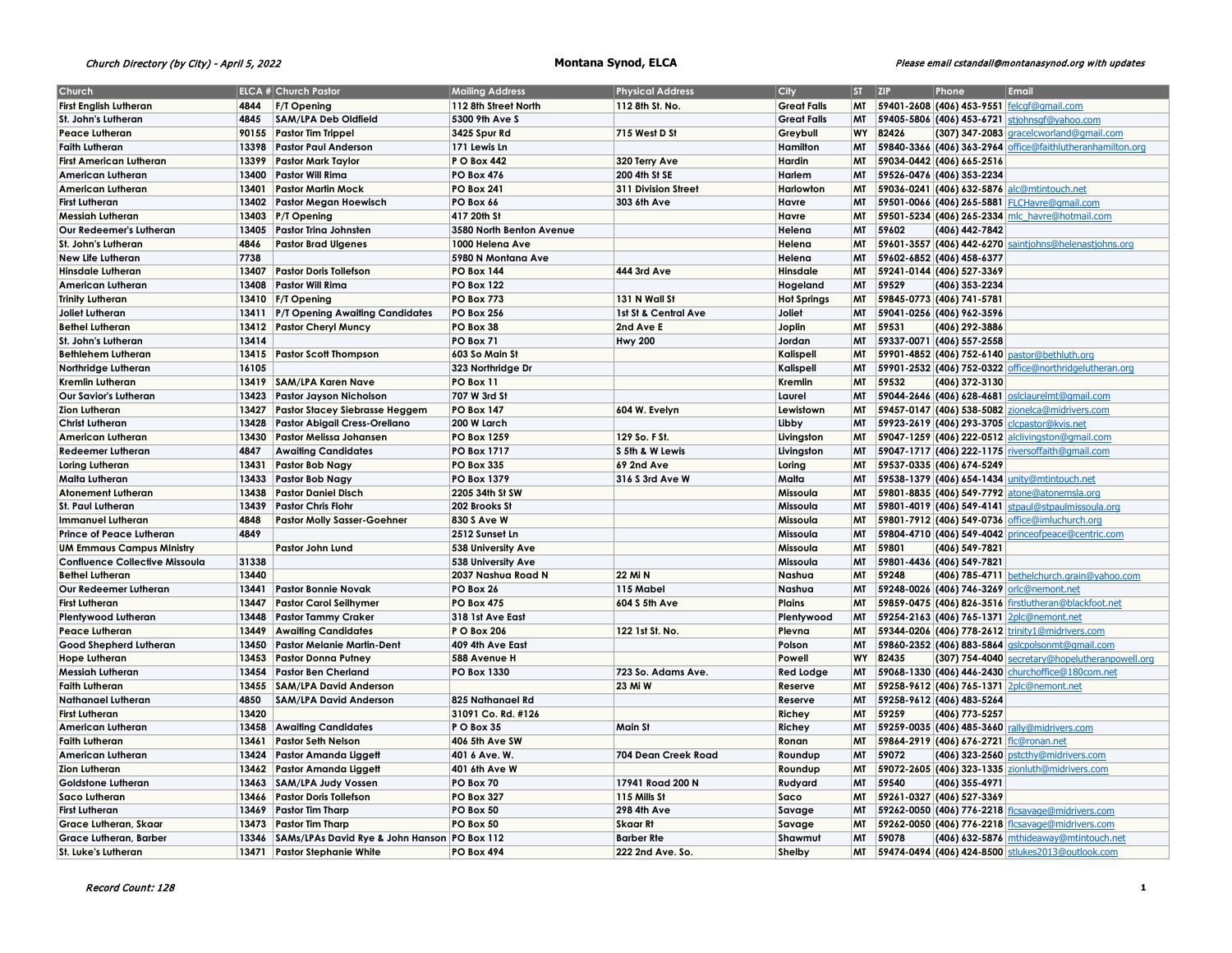# Church Directory (by City) - April 5, 2022 **Montana Synod, ELCA** Please email cstandall@montanasynod.org with updates

| <b>Church</b>                            |       | <b>ELCA # Church Pastor</b>                  | <b>Mailing Address</b>   | <b>Physical Address</b> | City               | $ST$ $ZIP$ |       | Phone                                   | Email                                                                                                |
|------------------------------------------|-------|----------------------------------------------|--------------------------|-------------------------|--------------------|------------|-------|-----------------------------------------|------------------------------------------------------------------------------------------------------|
| <b>First English Lutheran</b>            | 4844  | <b>F/T Opening</b>                           | 112 8th Street North     | 112 8th St. No.         | <b>Great Falls</b> |            |       |                                         | MT 59401-2608 (406) 453-9551 felcqf@qmail.com                                                        |
| St. John's Lutheran                      | 4845  | SAM/LPA Deb Oldfield                         | 5300 9th Ave S           |                         | <b>Great Falls</b> | MT         |       |                                         | 59405-5806 (406) 453-6721 stjohnsgf@yahoo.com                                                        |
| <b>Peace Lutheran</b>                    | 90155 | <b>Pastor Tim Trippel</b>                    | 3425 Spur Rd             | 715 West D St           | Greybull           | WY         | 82426 |                                         | (307) 347-2083  gracelcworland@gmail.com                                                             |
| <b>Faith Lutheran</b>                    | 13398 | <b>Pastor Paul Anderson</b>                  | 171 Lewis Ln             |                         | Hamilton           | MT         |       |                                         | 59840-3366 (406) 363-2964 office@faithlutheranhamilton.org                                           |
| <b>First American Lutheran</b>           | 13399 | <b>Pastor Mark Taylor</b>                    | <b>PO Box 442</b>        | 320 Terry Ave           | Hardin             | MT         |       | 59034-0442 (406) 665-2516               |                                                                                                      |
| American Lutheran                        | 13400 | <b>Pastor Will Rima</b>                      | <b>PO Box 476</b>        |                         | Harlem             | <b>MT</b>  |       | 59526-0476 (406) 353-2234               |                                                                                                      |
|                                          | 13401 |                                              |                          | 200 4th St SE           |                    | MT         |       |                                         |                                                                                                      |
| <b>American Lutheran</b>                 |       | <b>Pastor Martin Mock</b>                    | <b>PO Box 241</b>        | 311 Division Street     | Harlowton          | MT         |       |                                         | 59036-0241 (406) 632-5876 alc@mtintouch.net                                                          |
| <b>First Lutheran</b>                    | 13402 | <b>Pastor Megan Hoewisch</b>                 | PO Box 66                | 303 6th Ave             | Havre              |            |       |                                         | 59501-0066 (406) 265-5881 FLCHavre@gmail.com                                                         |
| <b>Messiah Lutheran</b>                  | 13403 | $ P/T$ Opening                               | 417 20th St              |                         | Havre              | <b>MT</b>  |       |                                         | 59501-5234 (406) 265-2334 mlc havre@hotmail.com                                                      |
| Our Redeemer's Lutheran                  | 13405 | Pastor Trina Johnsten                        | 3580 North Benton Avenue |                         | Helena             | MT         | 59602 | (406) 442-7842                          |                                                                                                      |
| St. John's Lutheran                      | 4846  | <b>Pastor Brad Ulgenes</b>                   | 1000 Helena Ave          |                         | Helena             | MT         |       |                                         | 59601-3557 (406) 442-6270 saintjohns@helenastjohns.org                                               |
| New Life Lutheran                        | 7738  |                                              | 5980 N Montana Ave       |                         | Helena             | MT         |       | 59602-6852 (406) 458-6377               |                                                                                                      |
| <b>Hinsdale Lutheran</b>                 | 13407 | <b>Pastor Doris Tollefson</b>                | <b>PO Box 144</b>        | <b>444 3rd Ave</b>      | Hinsdale           | MT         |       | 59241-0144 (406) 527-3369               |                                                                                                      |
| American Lutheran                        | 13408 | Pastor Will Rima                             | <b>PO Box 122</b>        |                         | Hogeland           | <b>MT</b>  | 59529 | (406) 353-2234                          |                                                                                                      |
| <b>Trinity Lutheran</b>                  |       | 13410 F/T Opening                            | <b>PO Box 773</b>        | 131 N Wall St           | <b>Hot Springs</b> | <b>MT</b>  |       | 59845-0773 (406) 741-5781               |                                                                                                      |
| Joliet Lutheran                          | 13411 | P/T Opening Awaiting Candidates              | <b>PO Box 256</b>        | 1st St & Central Ave    | Joliet             | <b>MT</b>  |       | 59041-0256 (406) 962-3596               |                                                                                                      |
| <b>Bethel Lutheran</b>                   | 13412 | <b>Pastor Cheryl Muncy</b>                   | PO Box 38                | 2nd Ave E               | Joplin             | <b>MT</b>  | 59531 | (406) 292-3886                          |                                                                                                      |
| St. John's Lutheran                      | 13414 |                                              | PO Box 71                | <b>Hwy 200</b>          | Jordan             | <b>MT</b>  |       | 59337-0071 (406) 557-2558               |                                                                                                      |
| <b>Bethlehem Lutheran</b>                |       | 13415   Pastor Scott Thompson                | 603 So Main St           |                         | Kalispell          | MT         |       |                                         | 59901-4852 (406) 752-6140 pastor@bethluth.org                                                        |
| Northridge Lutheran                      | 16105 |                                              | 323 Northridge Dr        |                         | Kalispell          | <b>MT</b>  |       |                                         | 59901-2532 (406) 752-0322 office@northridgelutheran.org                                              |
| <b>Kremlin Lutheran</b>                  |       | 13419 SAM/LPA Karen Nave                     | PO Box 11                |                         | Kremlin            | MT         | 59532 | (406) 372-3130                          |                                                                                                      |
| <b>Our Savior's Lutheran</b>             | 13423 | <b>Pastor Jayson Nicholson</b>               | 707 W 3rd St             |                         | Laurel             | MT         |       |                                         | 59044-2646 (406) 628-4681 osiclaurelmt@gmail.com                                                     |
| <b>Zion Lutheran</b>                     | 13427 | <b>Pastor Stacey Siebrasse Heggem</b>        | <b>PO Box 147</b>        | 604 W. Evelyn           | Lewistown          | <b>MT</b>  |       |                                         | 59457-0147 (406) 538-5082 zionelca@midrivers.com                                                     |
| <b>Christ Lutheran</b>                   | 13428 | Pastor Abigail Cress-Orellano                | 200 W Larch              |                         | Libby              | MT         |       |                                         | 59923-2619 (406) 293-3705 Clcpastor@kvis.net                                                         |
| <b>American Lutheran</b>                 | 13430 | Pastor Melissa Johansen                      | <b>PO Box 1259</b>       | 129 So. F St.           | Livingston         | MT         |       |                                         | 59047-1259 (406) 222-0512 alclivingston@gmail.com                                                    |
| <b>Redeemer Lutheran</b>                 | 4847  | <b>Awaiting Candidates</b>                   | <b>PO Box 1717</b>       | S 5th & W Lewis         | Livingston         | MT         |       |                                         | 59047-1717 (406) 222-1175 riversoffaith@gmail.com                                                    |
| Loring Lutheran                          | 13431 | <b>Pastor Bob Nagy</b>                       | <b>PO Box 335</b>        | <b>69 2nd Ave</b>       | Loring             | MT         |       | 59537-0335 (406) 674-5249               |                                                                                                      |
| Malta Lutheran                           | 13433 | Pastor Bob Nagy                              | <b>PO Box 1379</b>       | 316 S 3rd Ave W         | Malta              | MT         |       |                                         | 59538-1379 (406) 654-1434 unity@mtintouch.net                                                        |
| <b>Atonement Lutheran</b>                | 13438 | <b>Pastor Daniel Disch</b>                   | 2205 34th St SW          |                         | Missoula           | <b>MT</b>  |       |                                         | 59801-8835 (406) 549-7792 atone@atonemsla.org                                                        |
| <b>St. Paul Lutheran</b>                 | 13439 | <b>Pastor Chris Flohr</b>                    | 202 Brooks St            |                         | Missoula           | MT         |       |                                         | 59801-4019 (406) 549-4141   stpaul@stpaulmissoula.org                                                |
| <b>Immanuel Lutheran</b>                 | 4848  | <b>Pastor Molly Sasser-Goehner</b>           | 830 S Ave W              |                         | Missoula           | МT         |       |                                         | 59801-7912 (406) 549-0736 office@imluchurch.org                                                      |
| <b>Prince of Peace Lutheran</b>          | 4849  |                                              | 2512 Sunset Ln           |                         | Missoula           | <b>MT</b>  |       | 59804-4710 (406) 549-4042               | princeofpeace@centric.com                                                                            |
| <b>UM Emmaus Campus Ministry</b>         |       | Pastor John Lund                             | 538 University Ave       |                         | Missoula           | <b>MT</b>  | 59801 | (406) 549-7821                          |                                                                                                      |
| <b>Confluence Collective Missoula</b>    | 31338 |                                              | 538 University Ave       |                         | Missoula           | <b>MT</b>  |       | 59801-4436 (406) 549-7821               |                                                                                                      |
| <b>Bethel Lutheran</b>                   | 13440 |                                              | 2037 Nashua Road N       | 22 Mi N                 | Nashua             | <b>MT</b>  | 59248 |                                         | (406) 785-4711 bethelchurch.grain@yahoo.com                                                          |
| Our Redeemer Lutheran                    | 13441 | <b>Pastor Bonnie Novak</b>                   | PO Box 26                | 115 Mabel               | Nashua             | MT         |       |                                         | 59248-0026 (406) 746-3269 oric@nemont.net                                                            |
| <b>First Lutheran</b>                    | 13447 | <b>Pastor Carol Seilhymer</b>                | <b>PO Box 475</b>        | 604 S 5th Ave           | <b>Plains</b>      | MT         |       |                                         | 59859-0475 (406) 826-3516 firstlutheran@blackfoot.net                                                |
| <b>Plentywood Lutheran</b>               | 13448 | <b>Pastor Tammy Craker</b>                   | 318 1st Ave East         |                         | Plentywood         | MT         |       |                                         | 59254-2163 (406) 765-1371 2plc@nemont.net                                                            |
| <b>Peace Lutheran</b>                    | 13449 | <b>Awaiting Candidates</b>                   | P O Box 206              | 122 1st St. No.         | Plevna             | MT         |       |                                         | 59344-0206 (406) 778-2612 trinity1@midrivers.com                                                     |
| Good Shepherd Lutheran                   | 13450 | <b>Pastor Melanie Martin-Dent</b>            | 409 4th Ave East         |                         | Polson             | <b>MT</b>  |       |                                         | 59860-2352 (406) 883-5864 gslcpolsonmt@gmail.com                                                     |
|                                          | 13453 | <b>Pastor Donna Putney</b>                   | 588 Avenue H             |                         | Powell             | WY         | 82435 |                                         |                                                                                                      |
| <b>Hope Lutheran</b><br>Messiah Lutheran | 13454 | <b>Pastor Ben Cherland</b>                   | PO Box 1330              | 723 So. Adams Ave.      | <b>Red Lodge</b>   | MT         |       |                                         | (307) 754-4040 secretary@hopelutheranpowell.org<br>59068-1330 (406) 446-2430 Churchoffice@180com.net |
|                                          |       |                                              |                          |                         |                    |            |       |                                         |                                                                                                      |
| <b>Faith Lutheran</b>                    | 13455 | <b>SAM/LPA David Anderson</b>                |                          | 23 Mi W                 | Reserve            | MT         |       |                                         | 59258-9612 (406) 765-1371 2plc@nemont.net                                                            |
| <b>Nathanael Lutheran</b>                | 4850  | <b>SAM/LPA David Anderson</b>                | 825 Nathanael Rd         |                         | Reserve            | <b>MT</b>  |       | 59258-9612 (406) 483-5264               |                                                                                                      |
| <b>First Lutheran</b>                    | 13420 |                                              | 31091 Co. Rd. #126       |                         | Richey             | MT         | 59259 | (406) 773-5257                          |                                                                                                      |
| American Lutheran                        | 13458 | <b>Awaiting Candidates</b>                   | P O Box 35               | <b>Main St</b>          | Richey             | MT         |       |                                         | 59259-0035 (406) 485-3660 rally@midrivers.com                                                        |
| <b>Faith Lutheran</b>                    | 13461 | <b>Pastor Seth Nelson</b>                    | 406 5th Ave SW           |                         | Ronan              | <b>MT</b>  |       | 59864-2919 (406) 676-2721 fic@ronan.net |                                                                                                      |
| American Lutheran                        | 13424 | Pastor Amanda Liggett                        | 401 6 Ave. W.            | 704 Dean Creek Road     | Roundup            | MT         | 59072 |                                         | (406) 323-2560 pstcthy@midrivers.com                                                                 |
| <b>Zion Lutheran</b>                     | 13462 | Pastor Amanda Liggett                        | 401 6th Ave W            |                         | Roundup            | MT         |       |                                         | 59072-2605 (406) 323-1335 zionluth@midrivers.com                                                     |
| Goldstone Lutheran                       | 13463 | SAM/LPA Judy Vossen                          | PO Box 70                | 17941 Road 200 N        | Rudyard            | <b>MT</b>  | 59540 | (406) 355-4971                          |                                                                                                      |
| Saco Lutheran                            | 13466 | <b>Pastor Doris Tollefson</b>                | <b>PO Box 327</b>        | 115 Mills St            | Saco               | MT         |       | 59261-0327 (406) 527-3369               |                                                                                                      |
| <b>First Lutheran</b>                    | 13469 | <b>Pastor Tim Tharp</b>                      | PO Box 50                | 298 4th Ave             | Savage             | MT         |       |                                         | 59262-0050 (406) 776-2218 ficsavage@midrivers.com                                                    |
| Grace Lutheran, Skaar                    | 13473 | <b>Pastor Tim Tharp</b>                      | PO Box 50                | <b>Skaar Rt</b>         | Savage             | MT         |       |                                         | 59262-0050 (406) 776-2218 flcsavage@midrivers.com                                                    |
| <b>Grace Lutheran, Barber</b>            | 13346 | SAMs/LPAs David Rye & John Hanson PO Box 112 |                          | <b>Barber Rte</b>       | Shawmut            | МT         | 59078 |                                         | (406) 632-5876 mthideaway@mtintouch.net                                                              |
| <b>St. Luke's Lutheran</b>               | 13471 | <b>Pastor Stephanie White</b>                | <b>PO Box 494</b>        | 222 2nd Ave. So.        | Shelby             | <b>MT</b>  |       |                                         | 59474-0494 (406) 424-8500 stlukes2013@outlook.com                                                    |